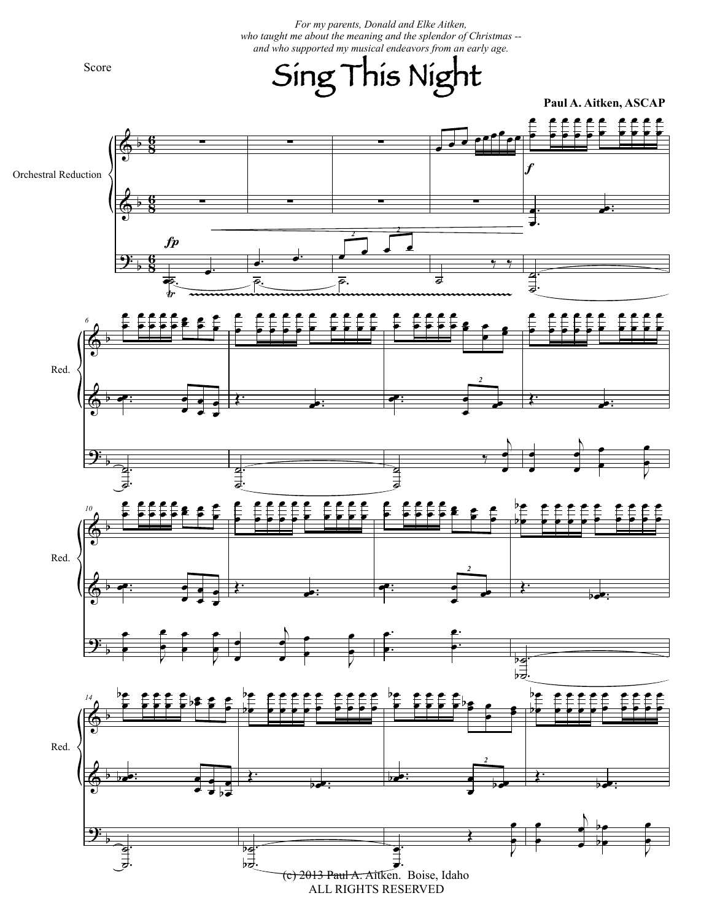







ALL RIGHTS RESERVED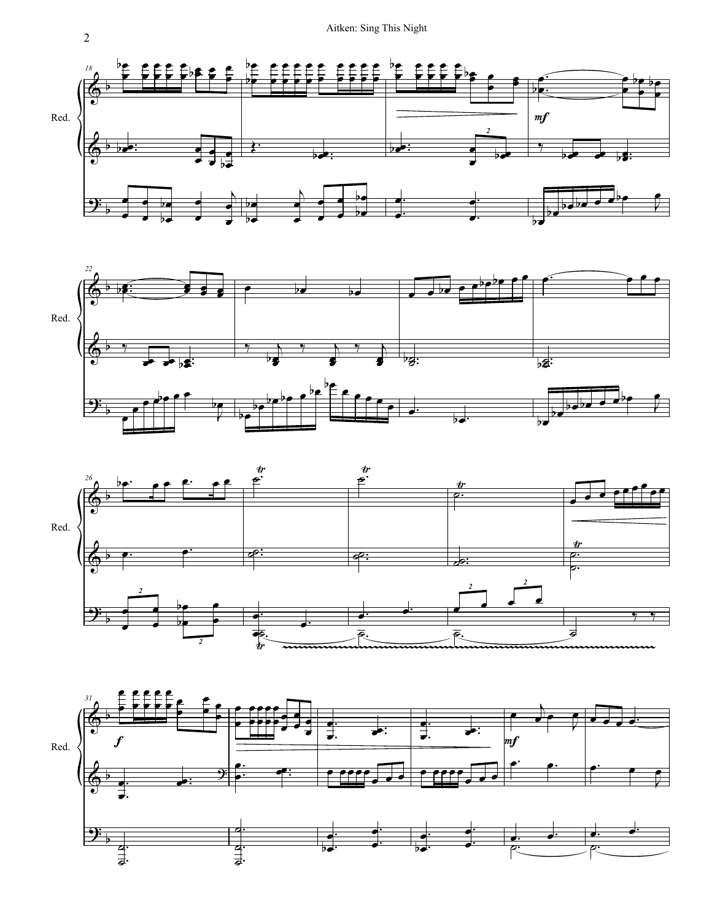





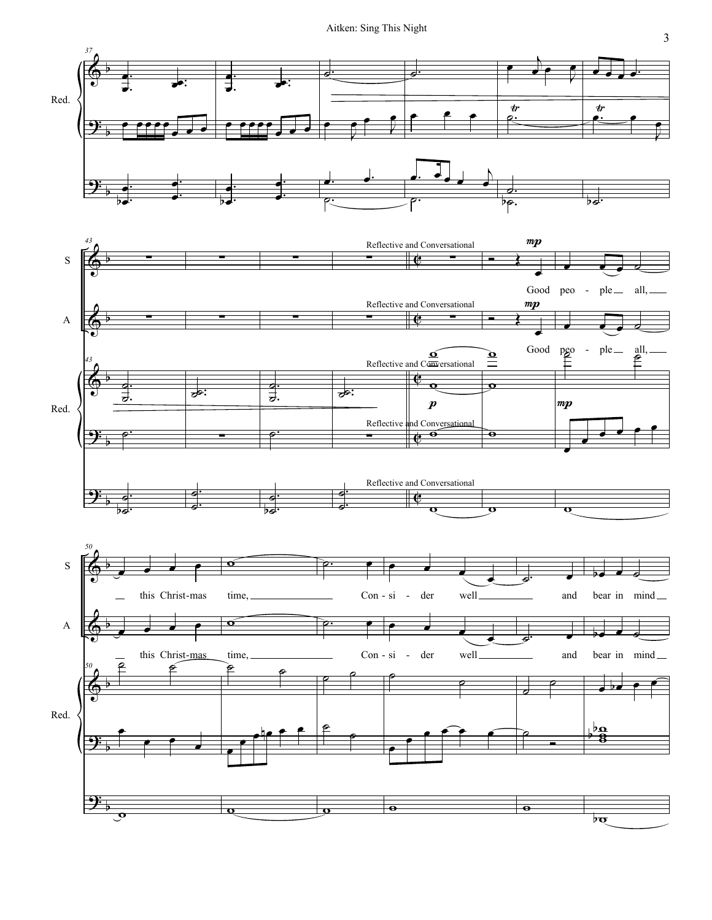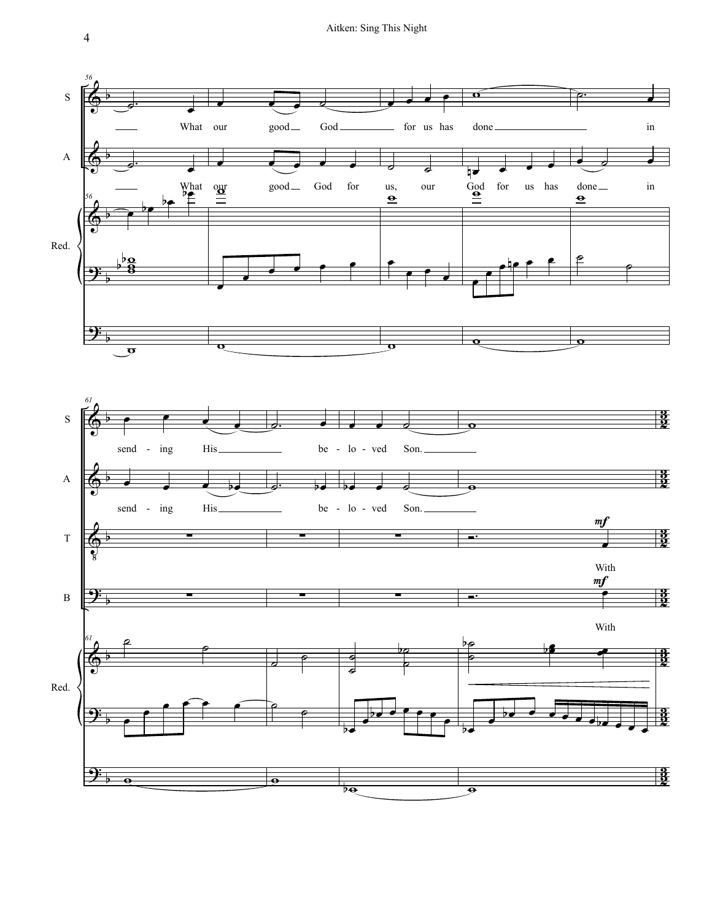<sup>4</sup> Aitken: Sing This Night

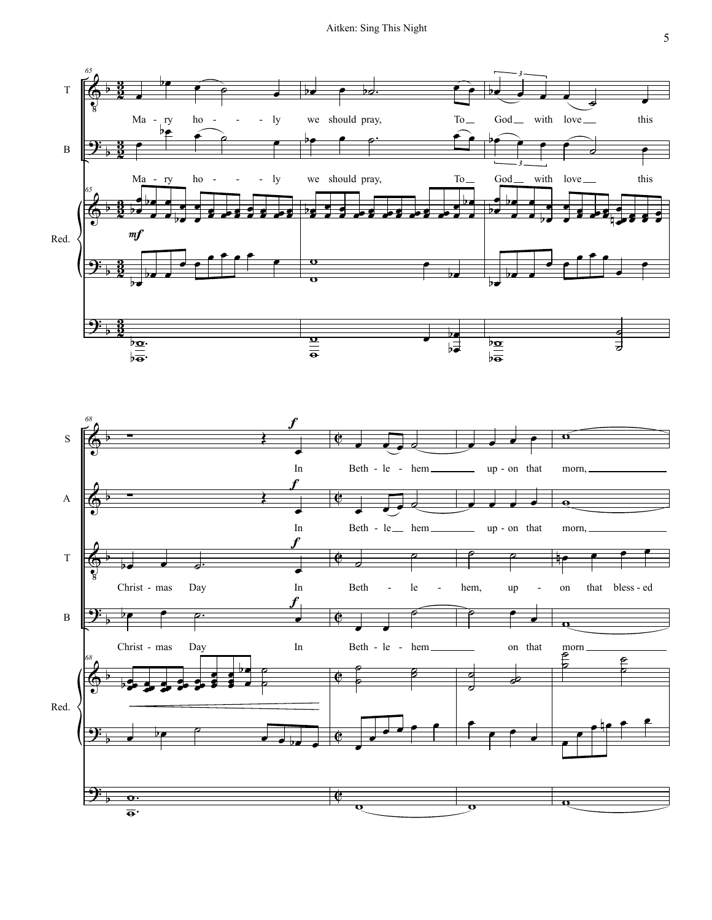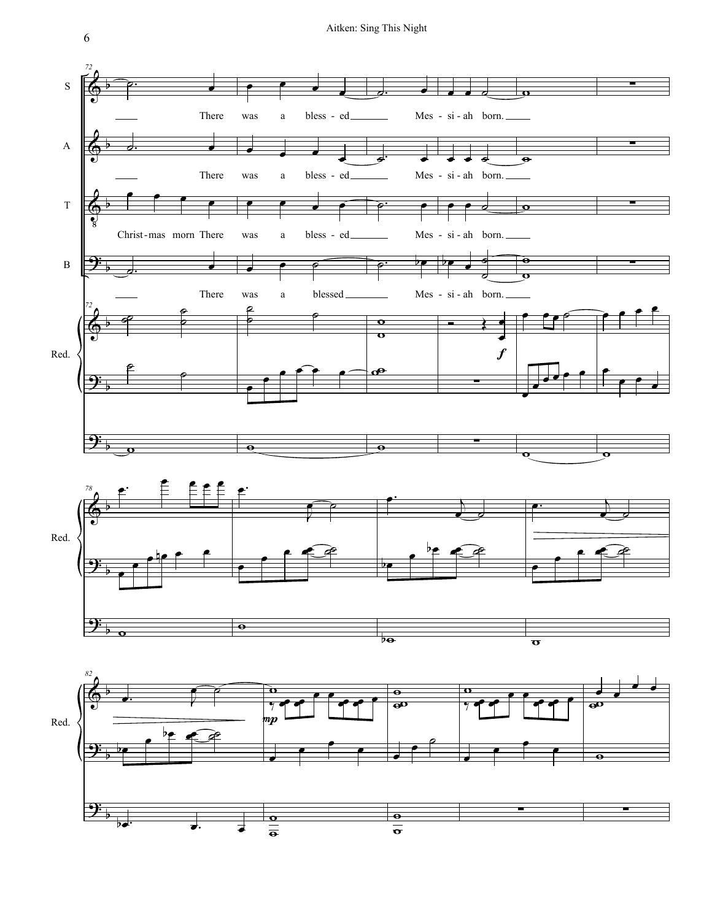<sup>6</sup> Aitken: Sing This Night

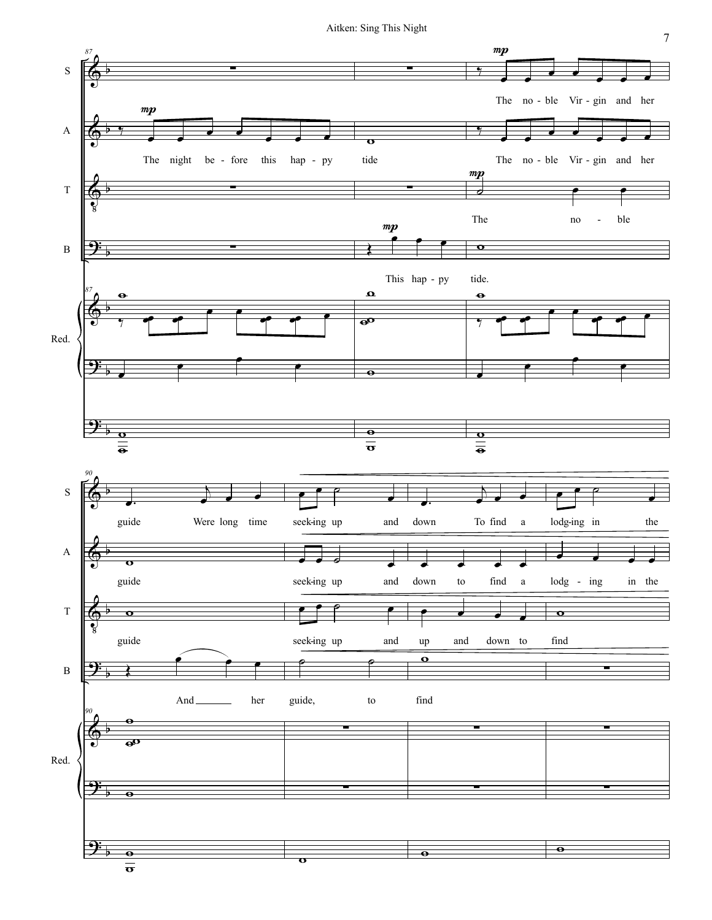

7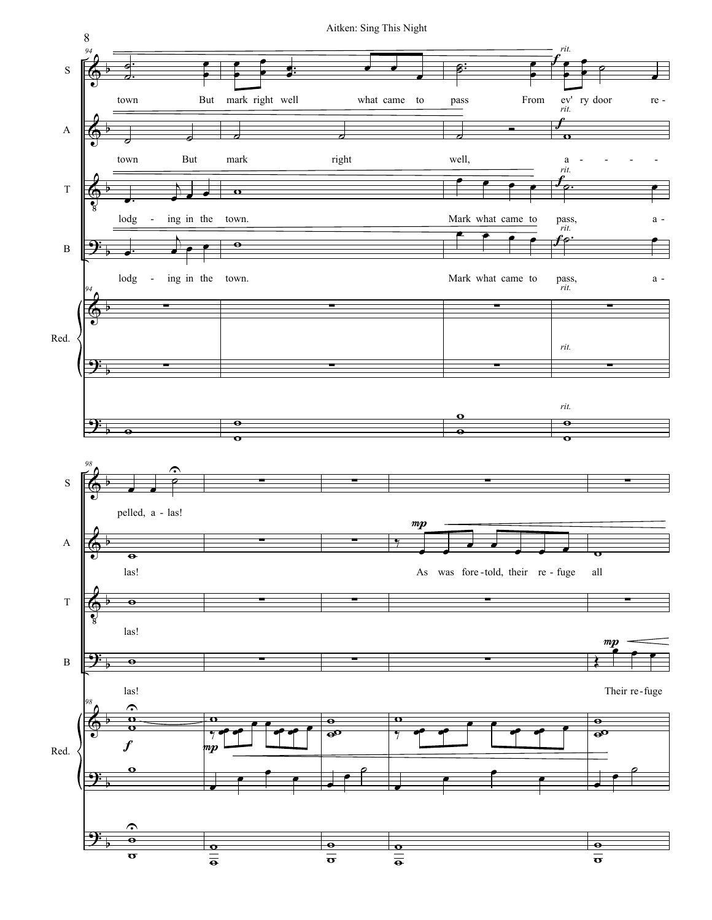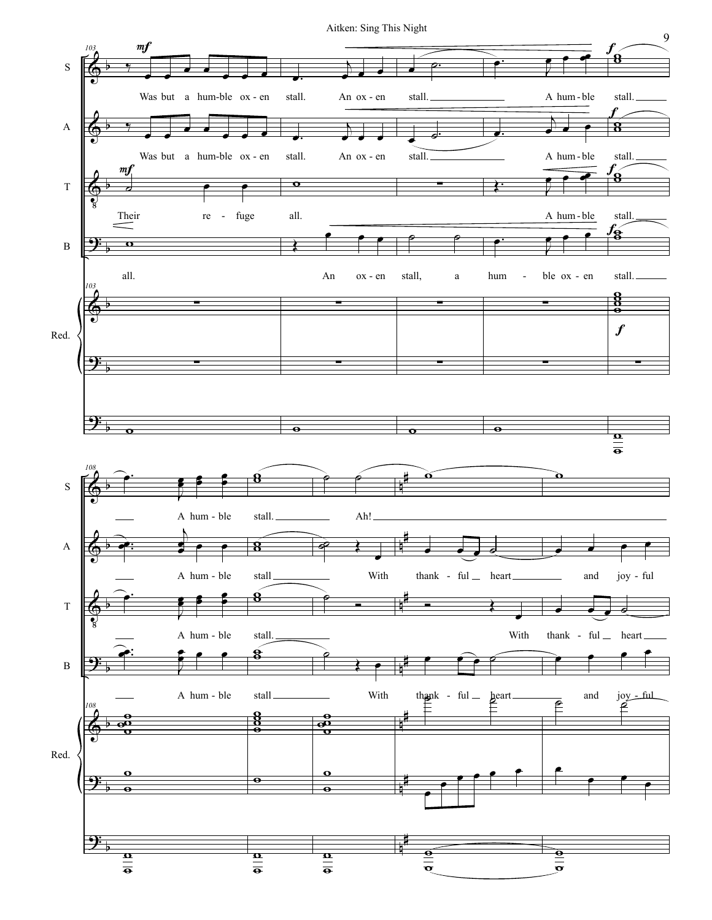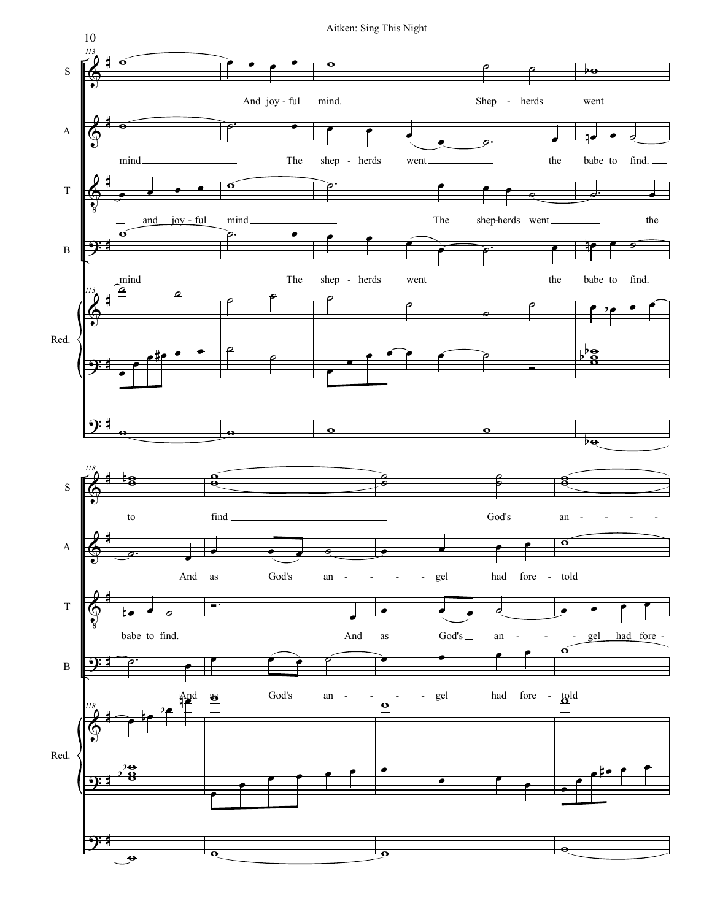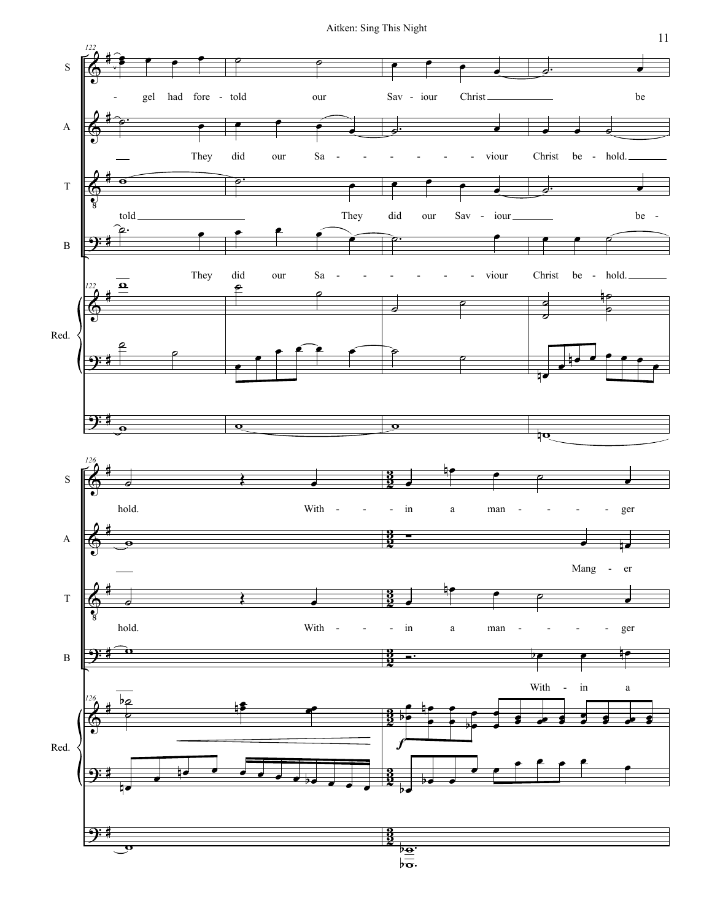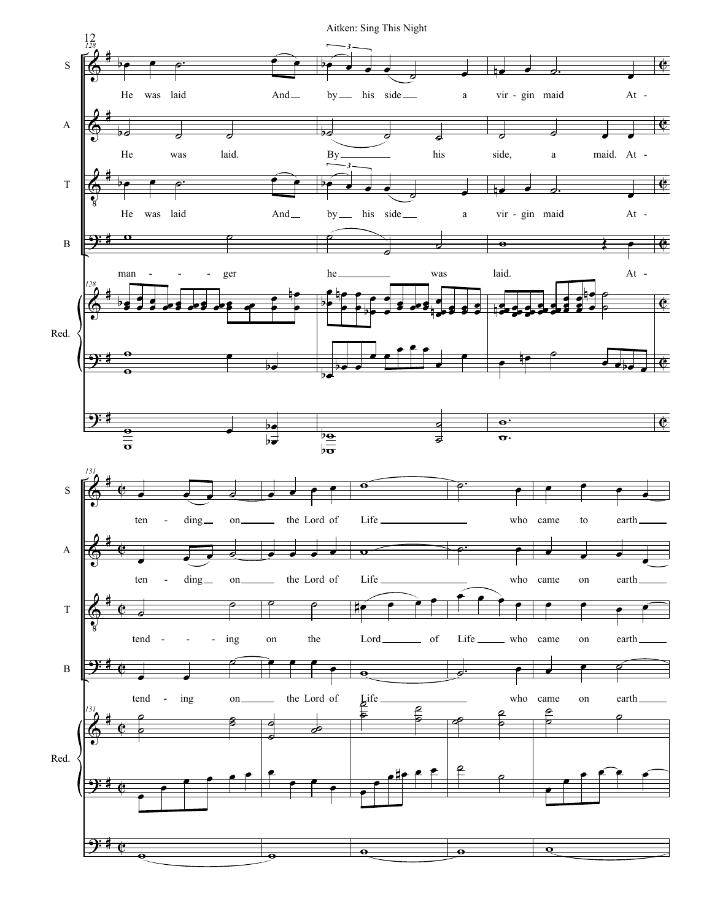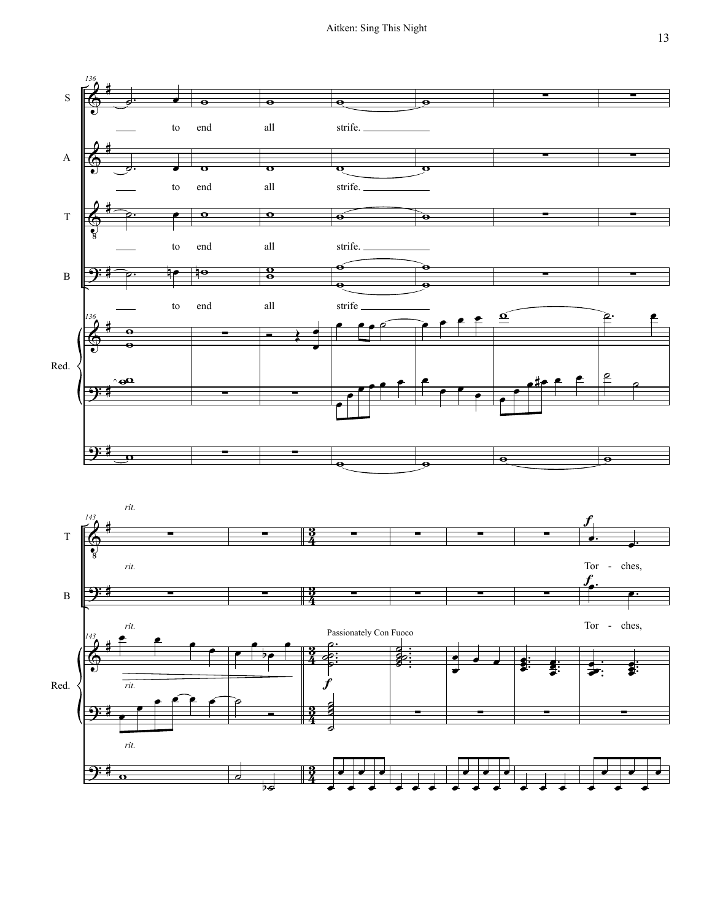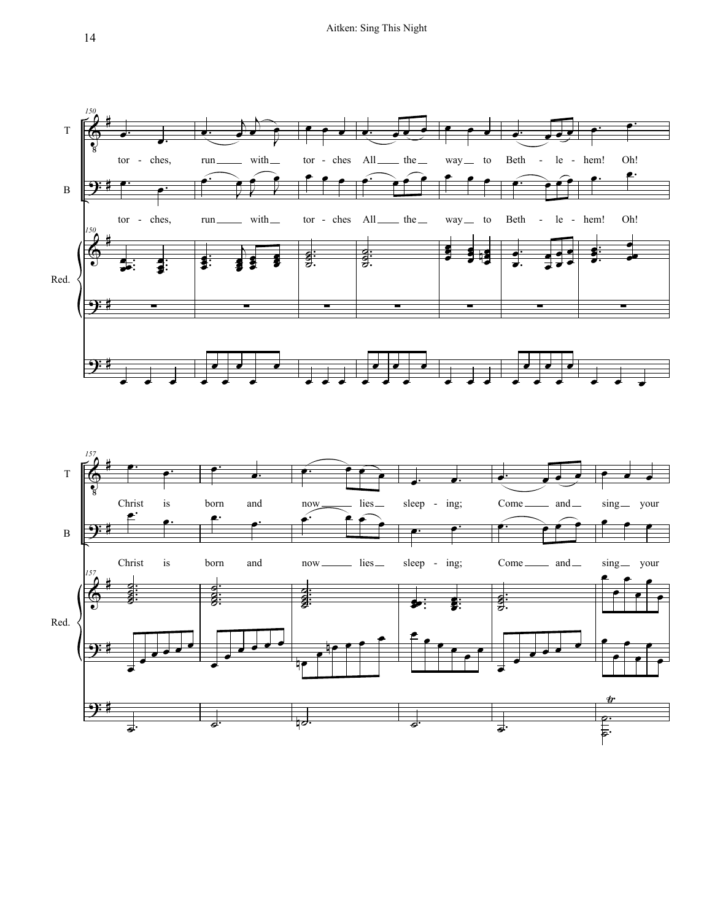

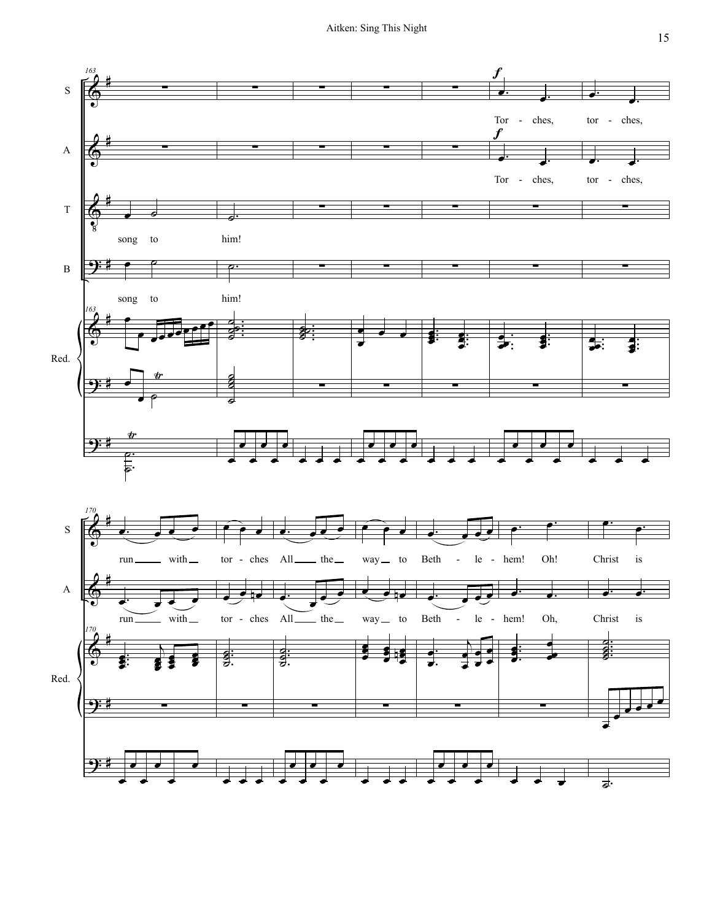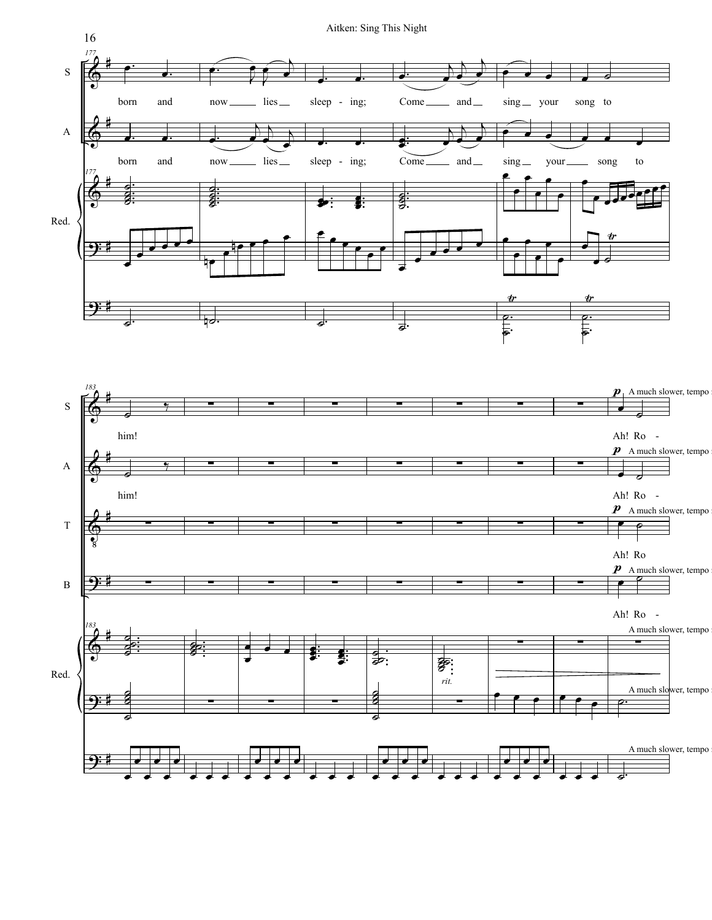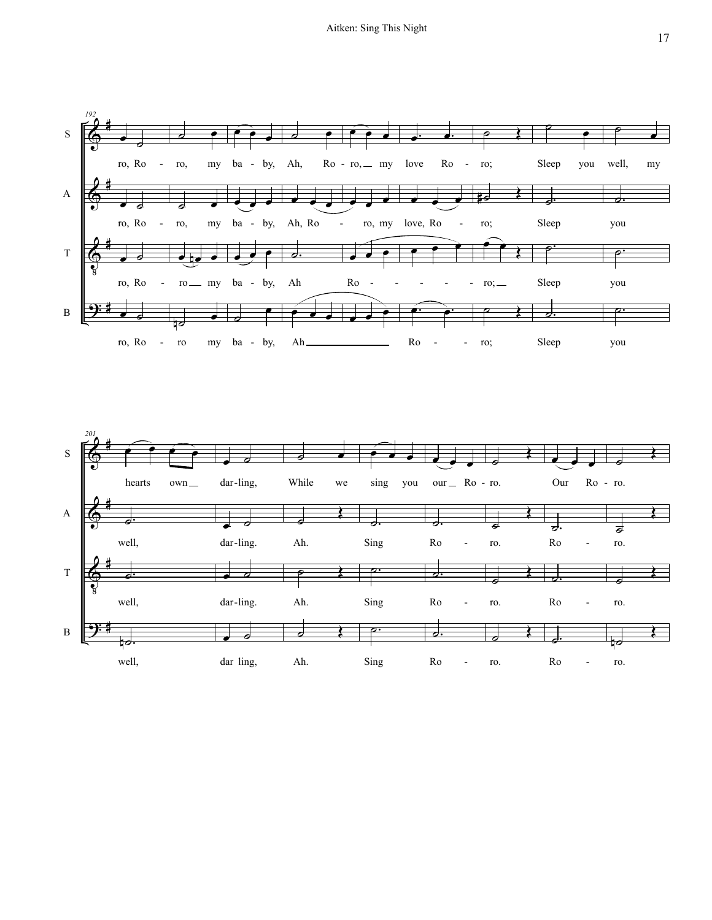

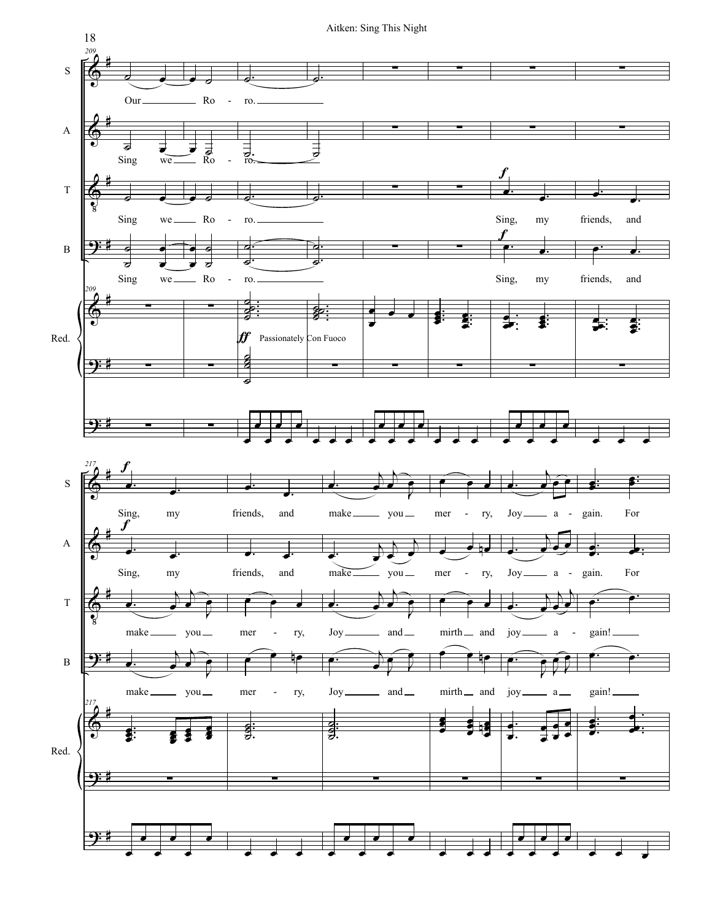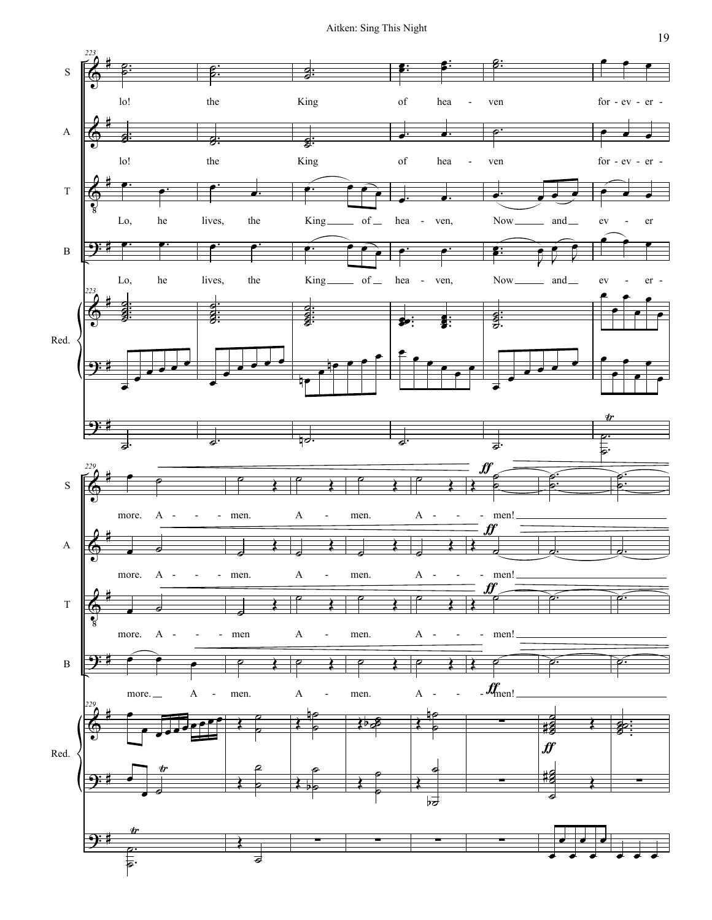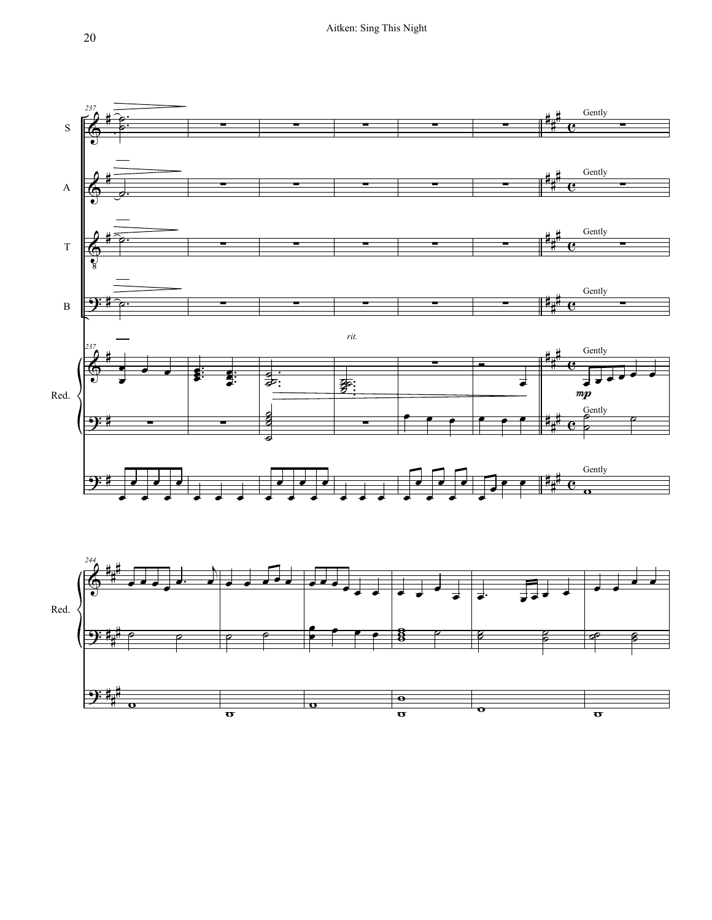



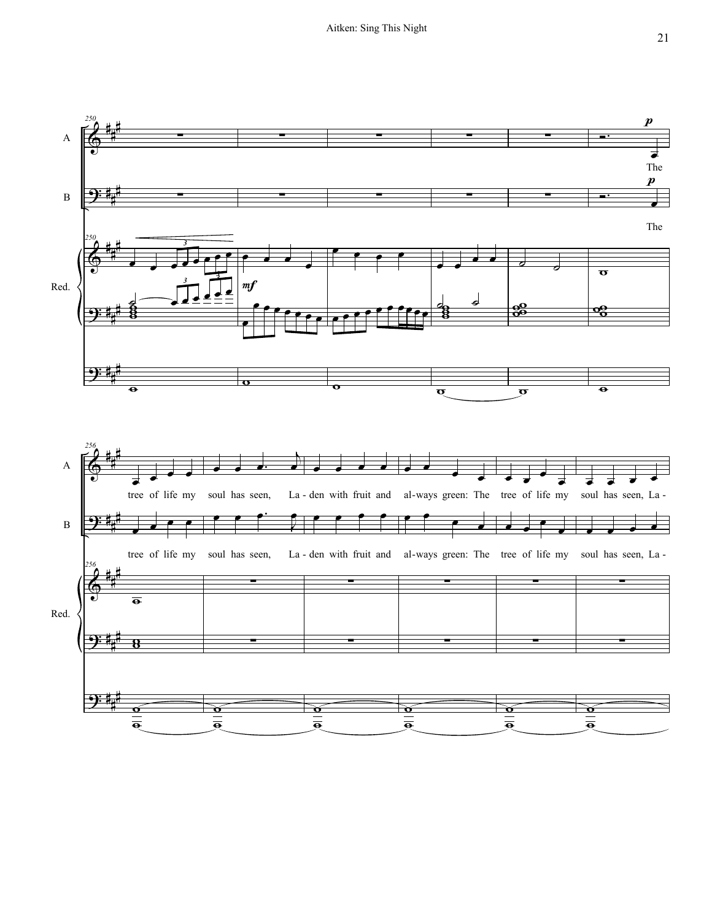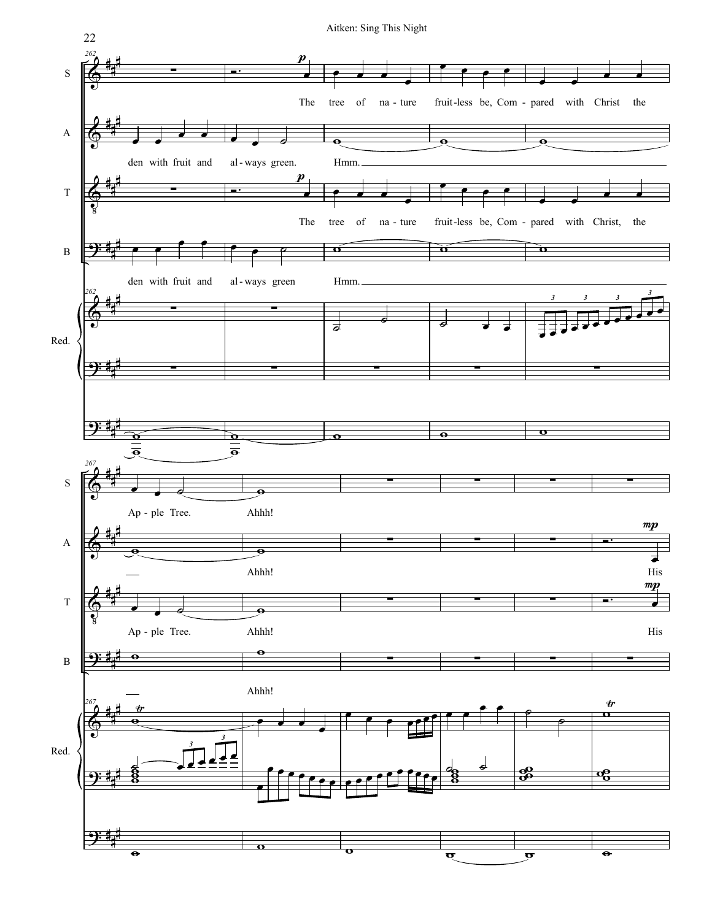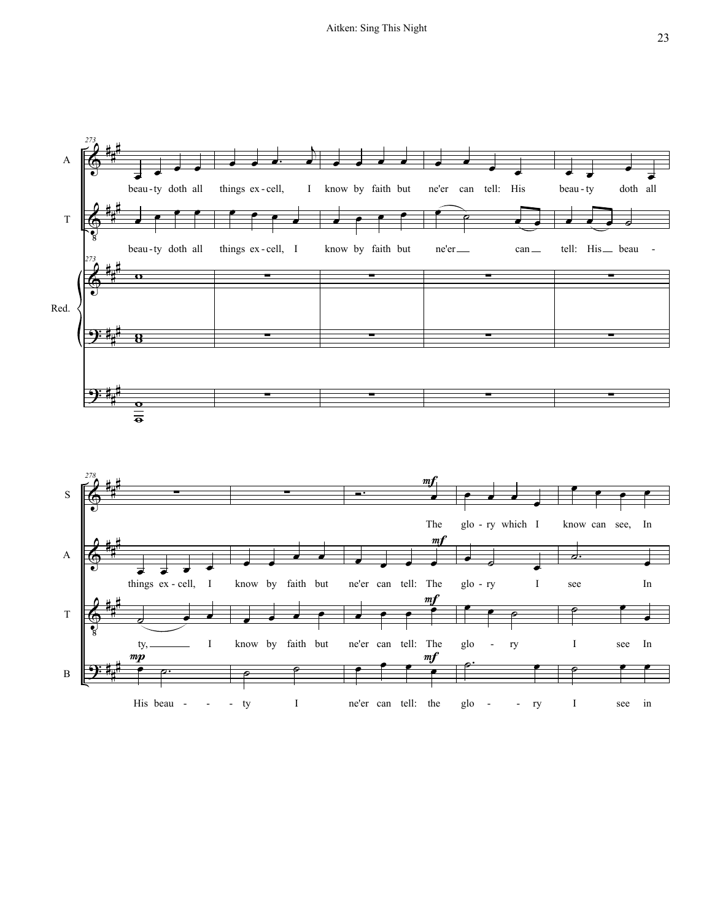

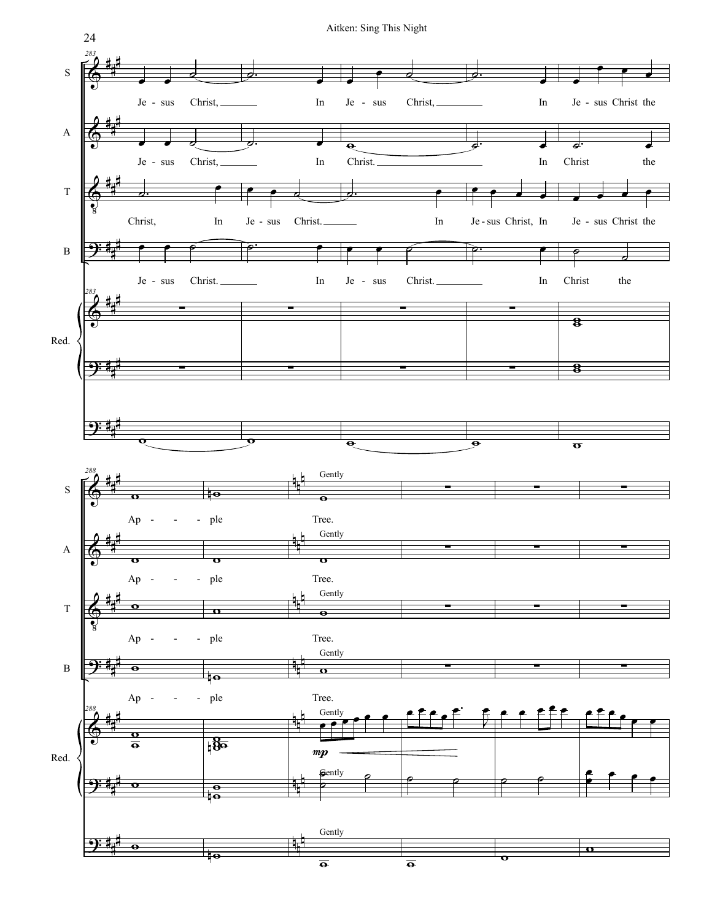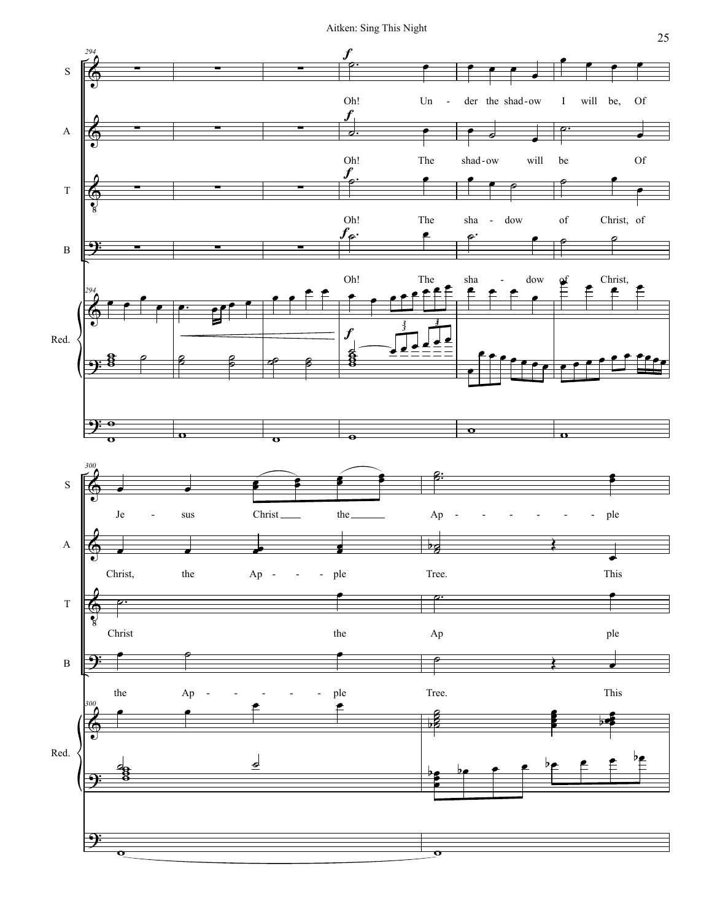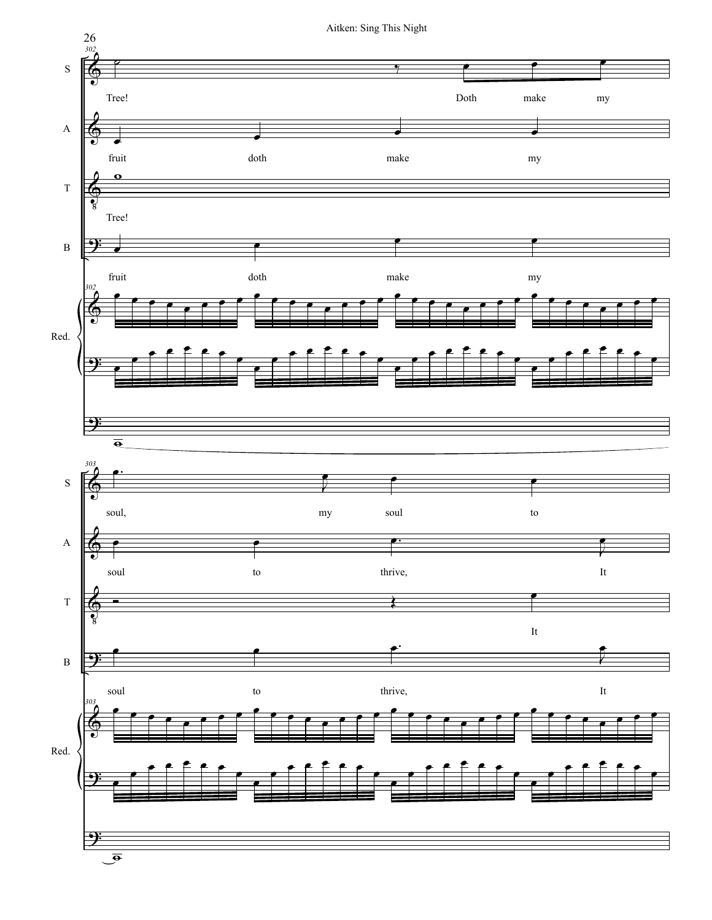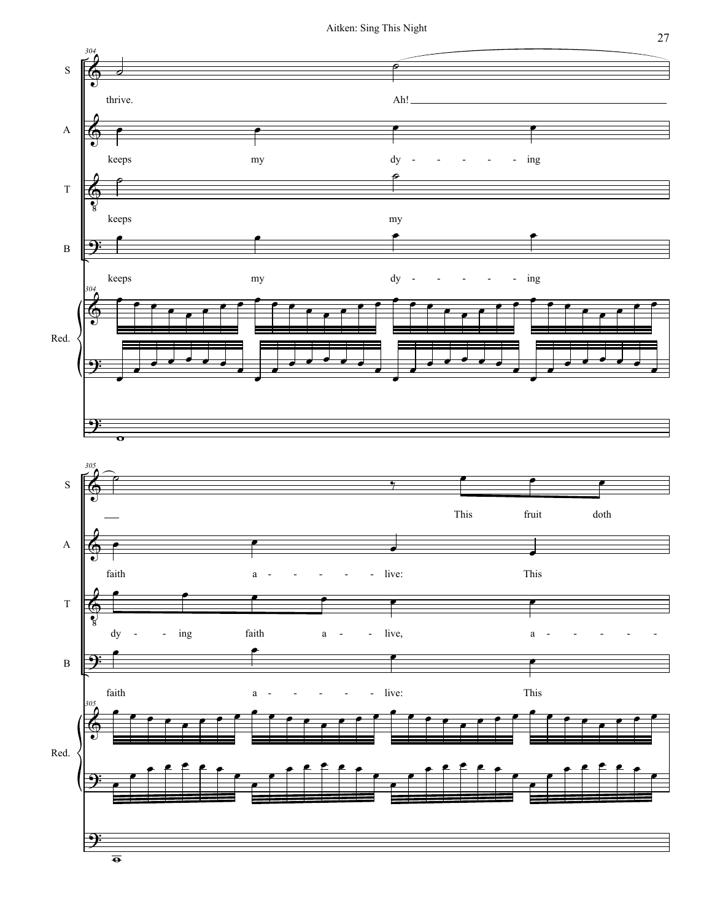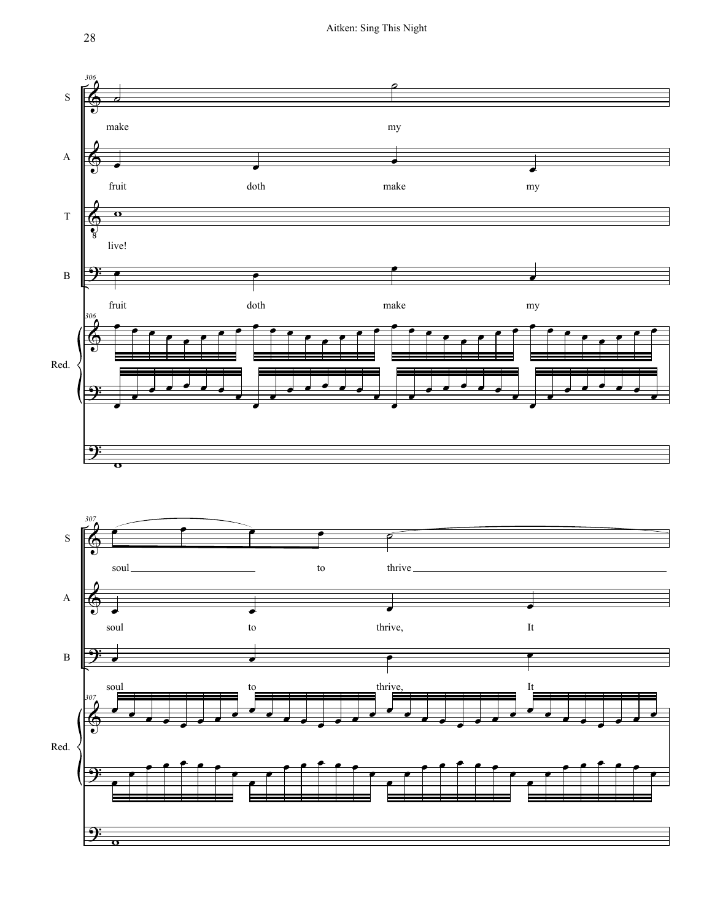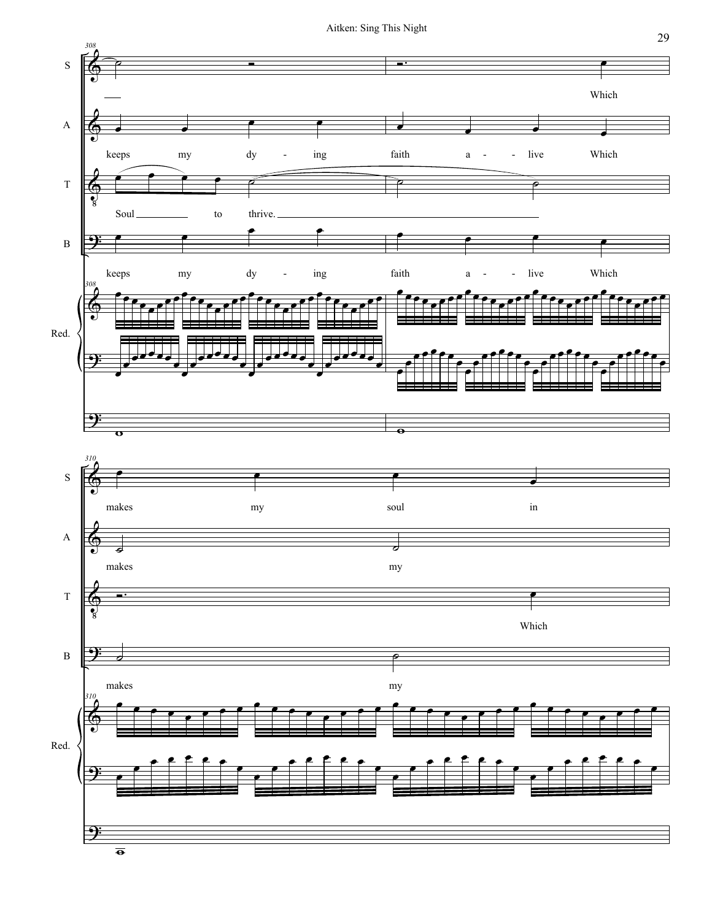

 $\overline{\bullet}$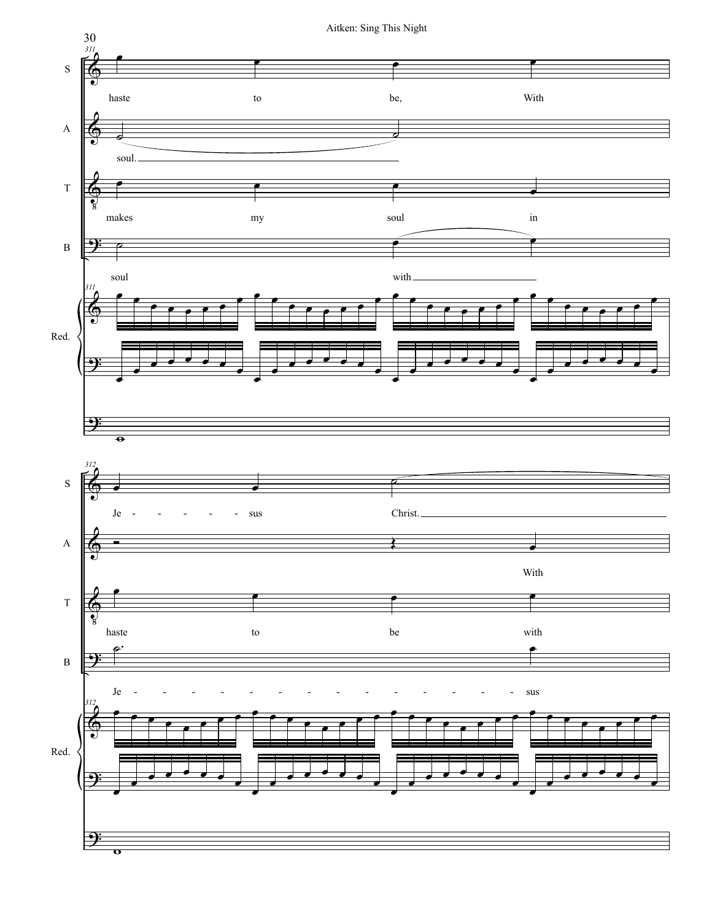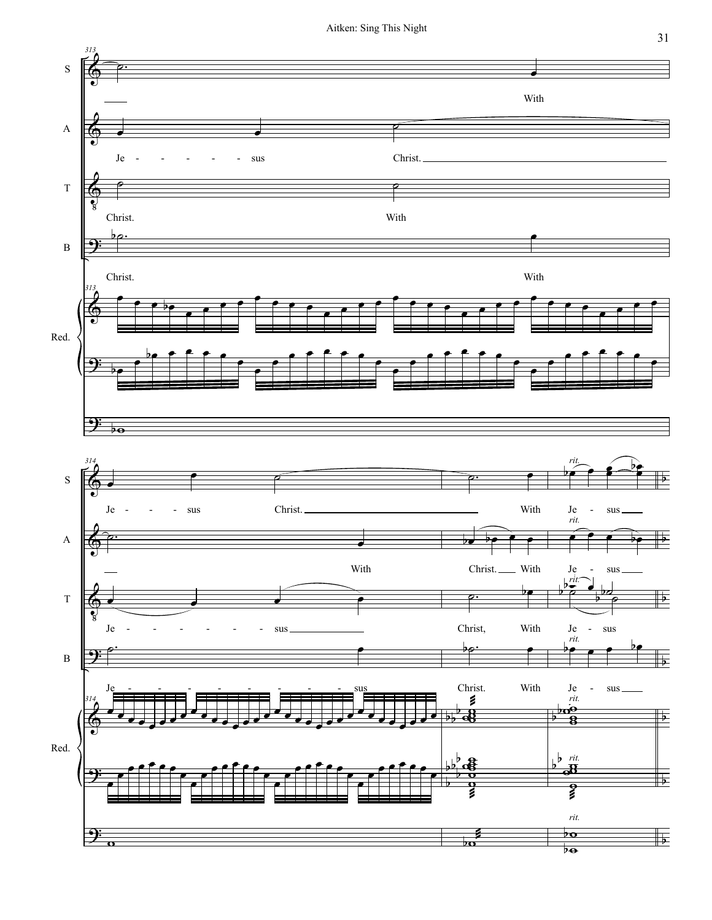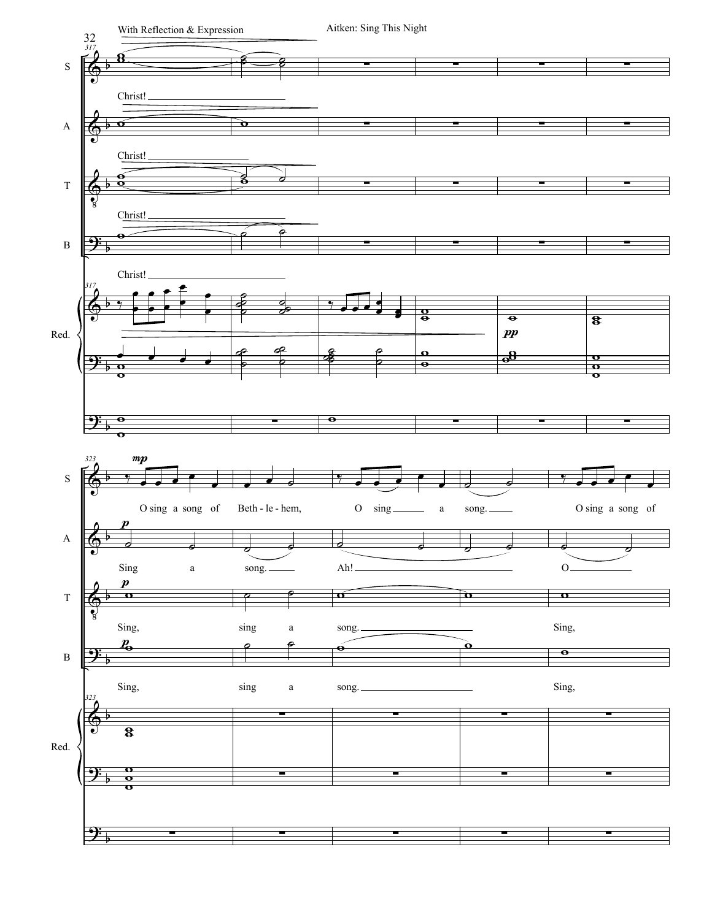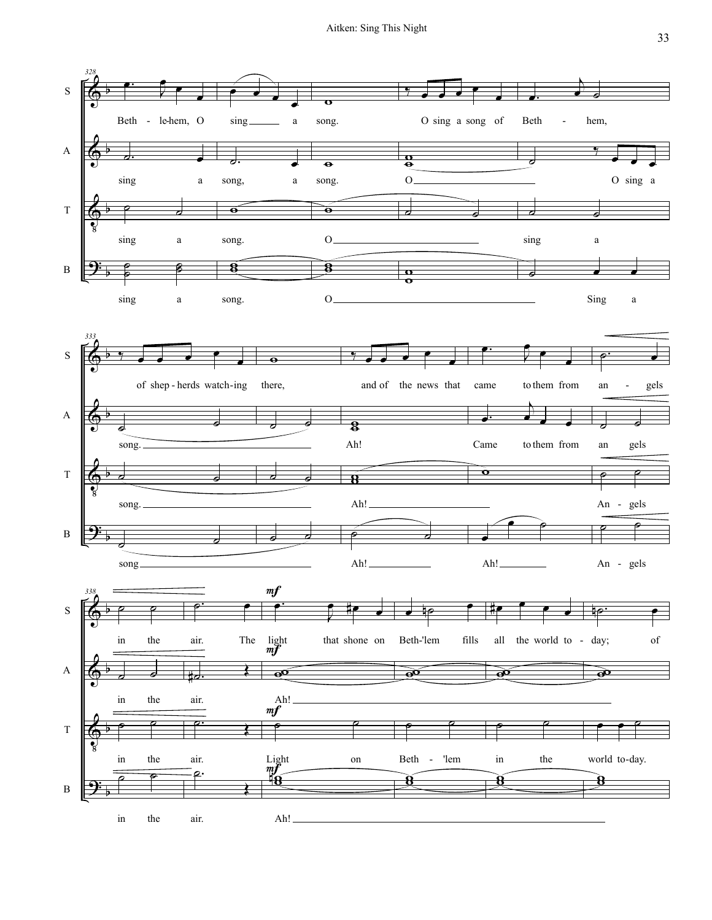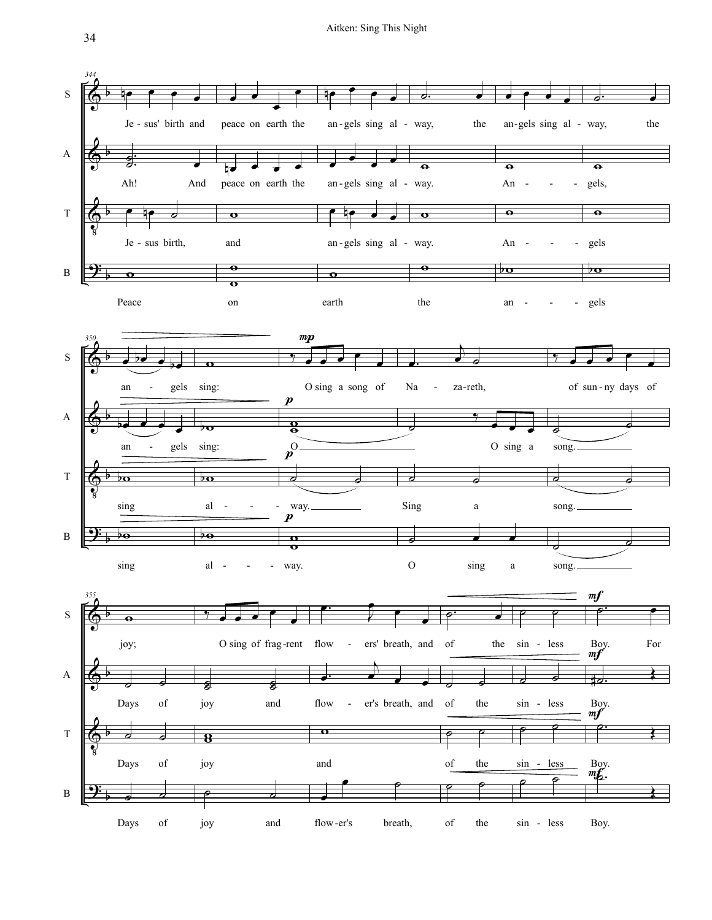<sup>34</sup> Aitken: Sing This Night

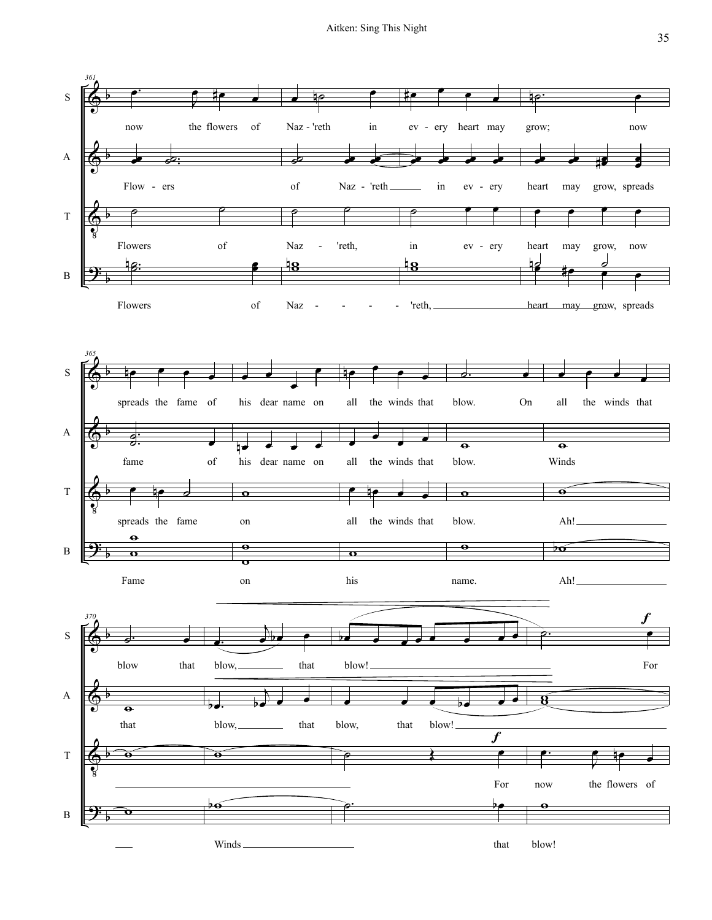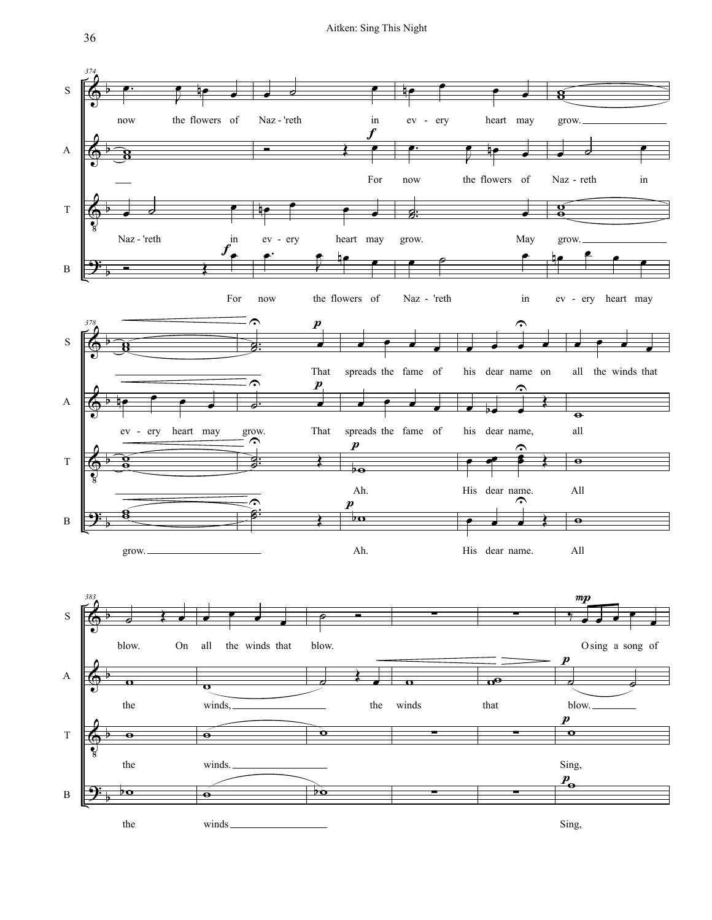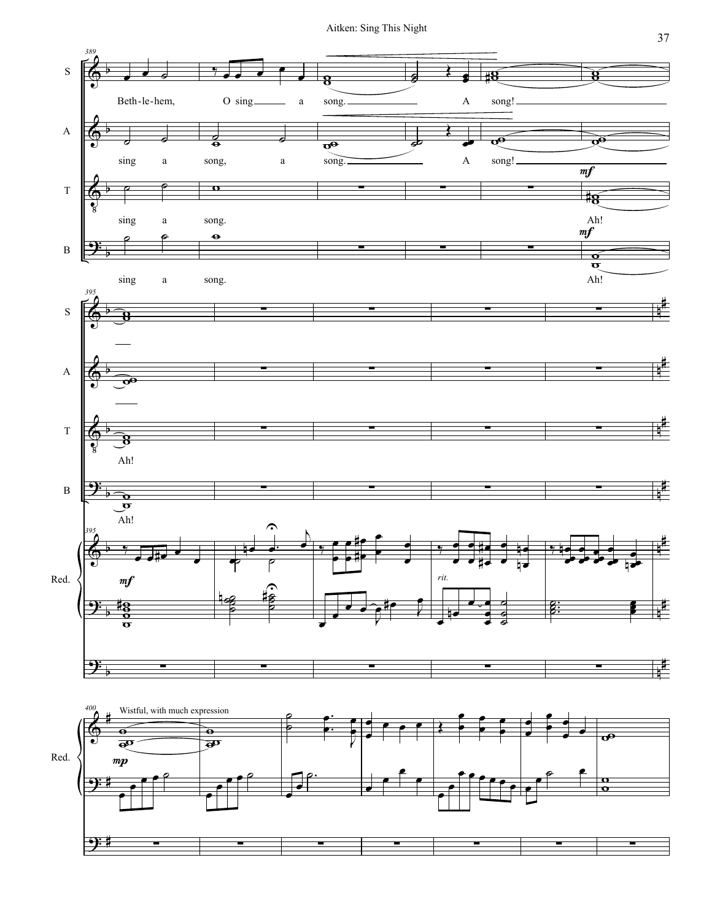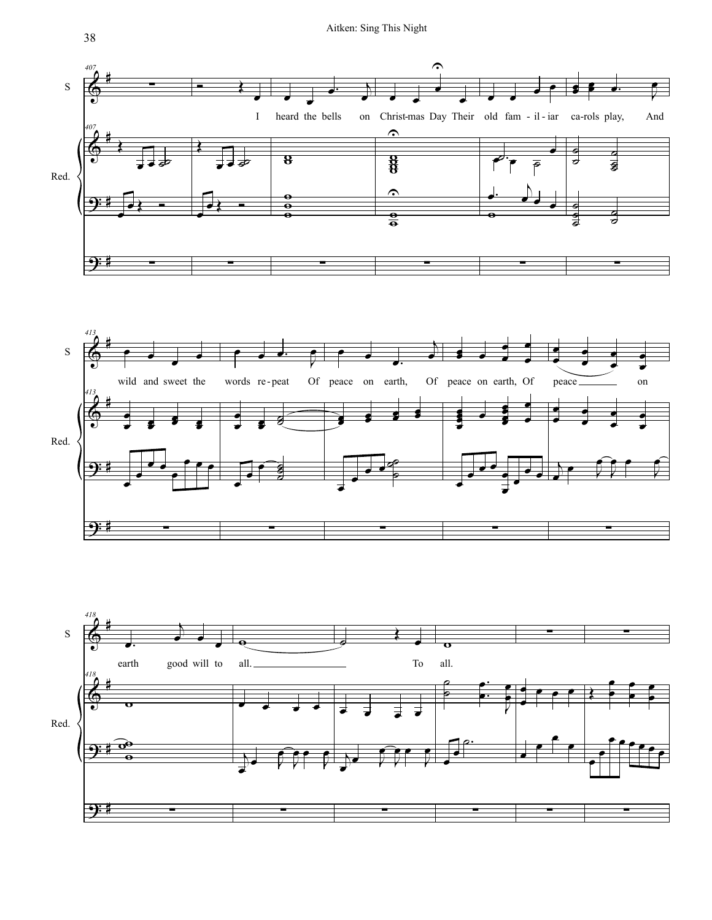



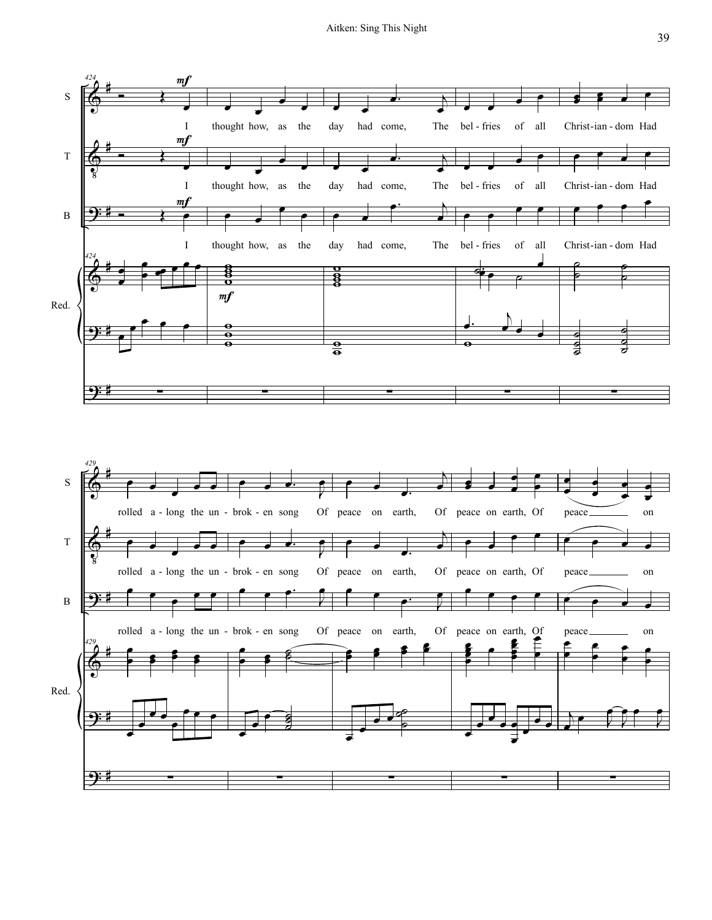

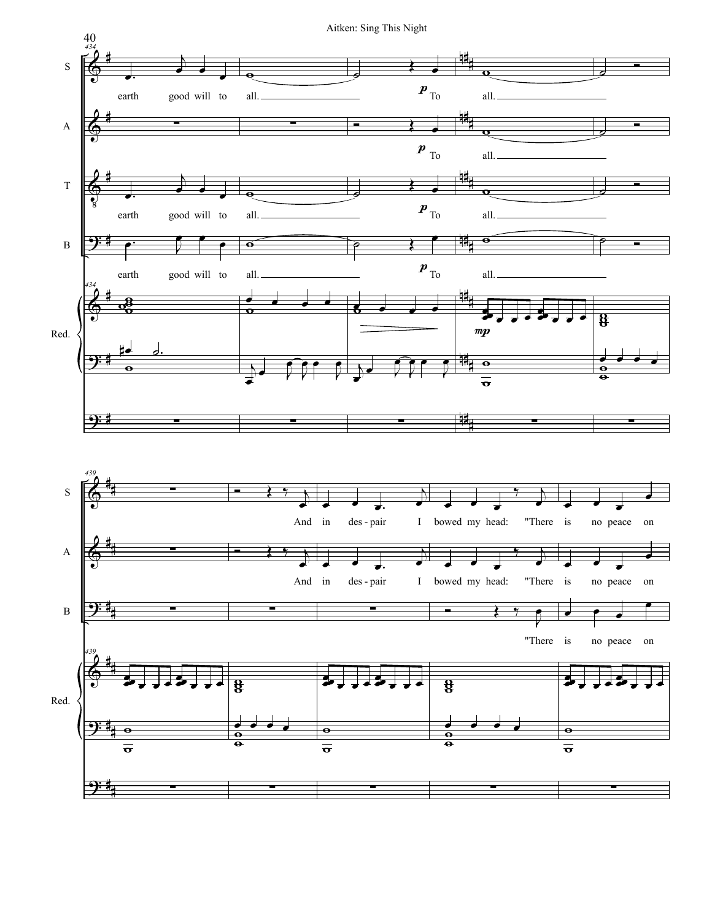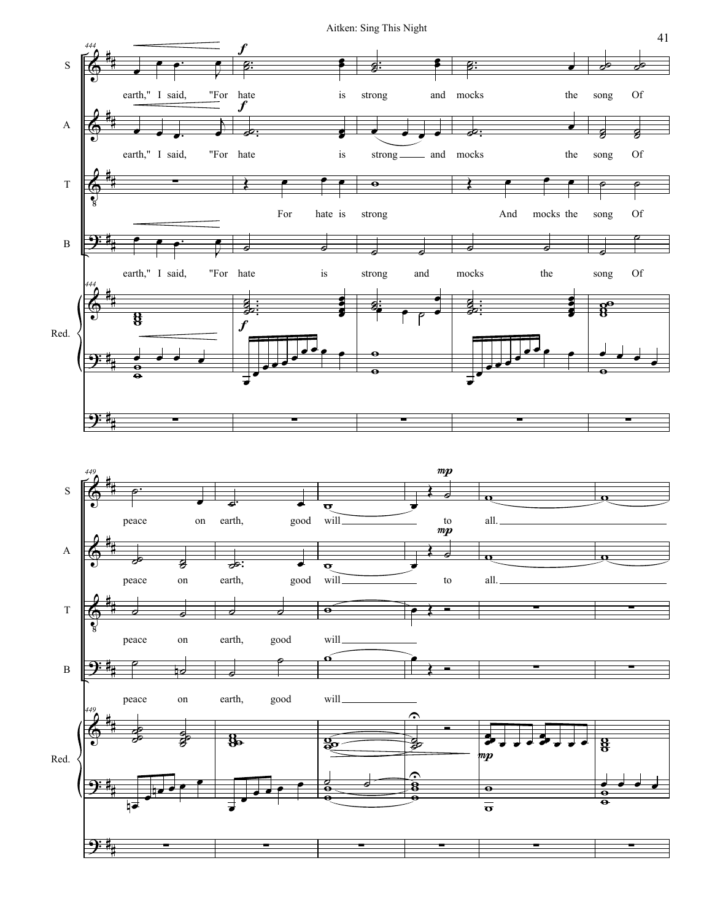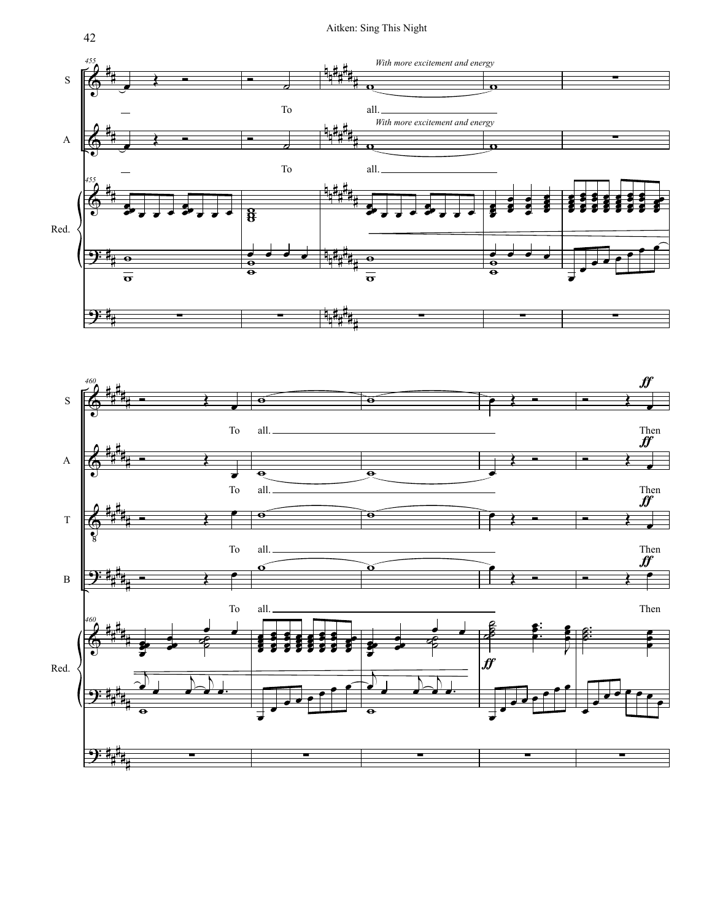

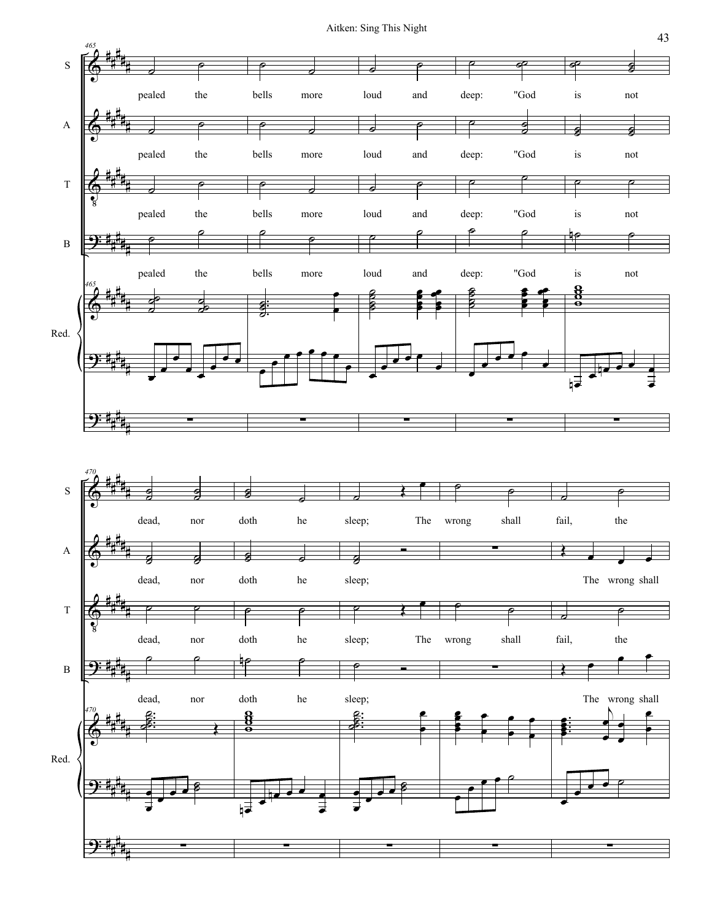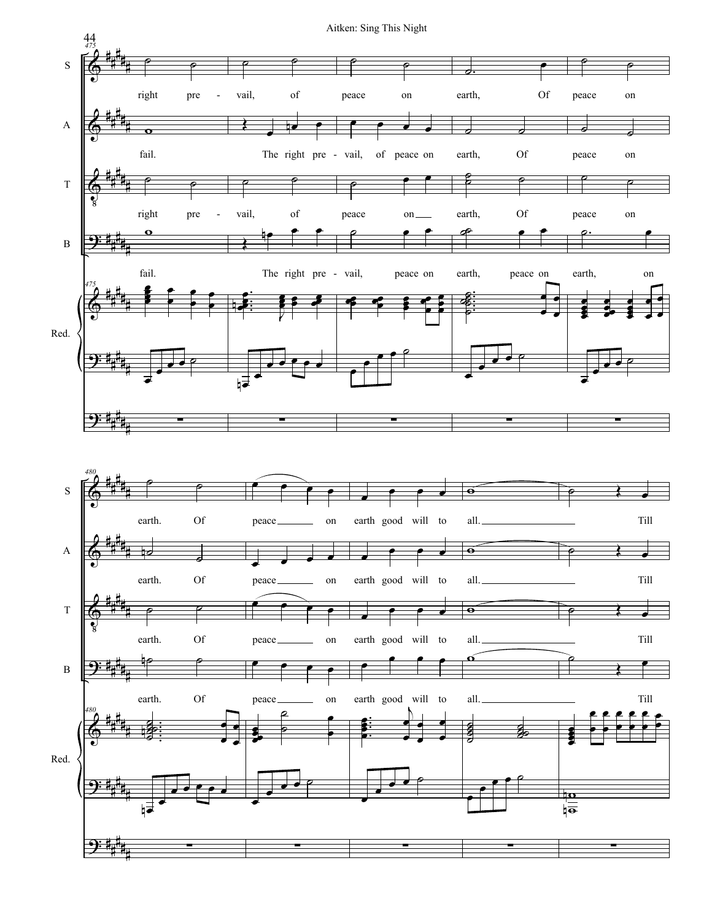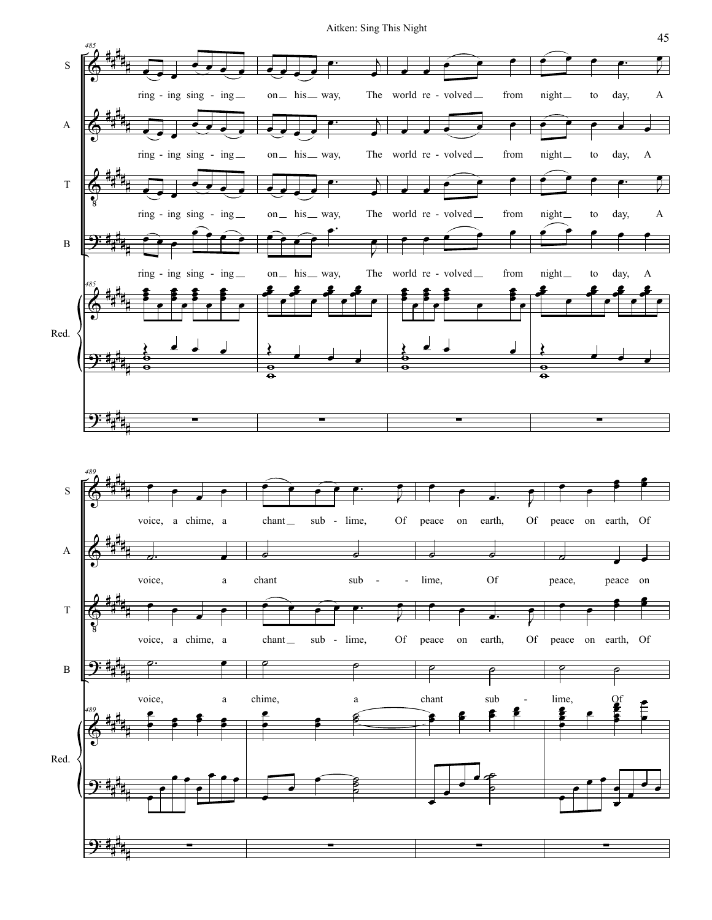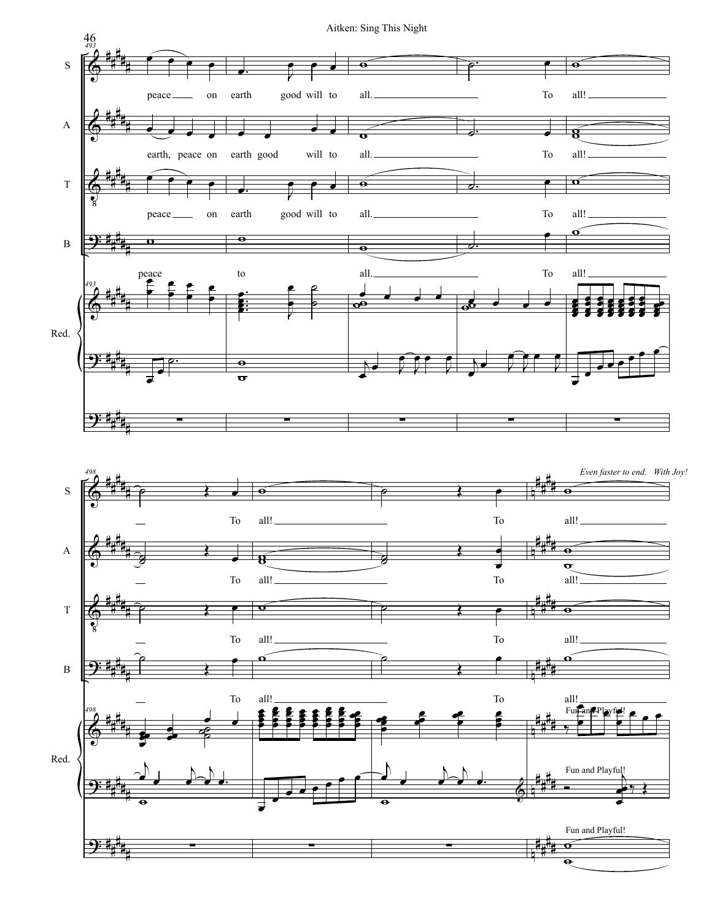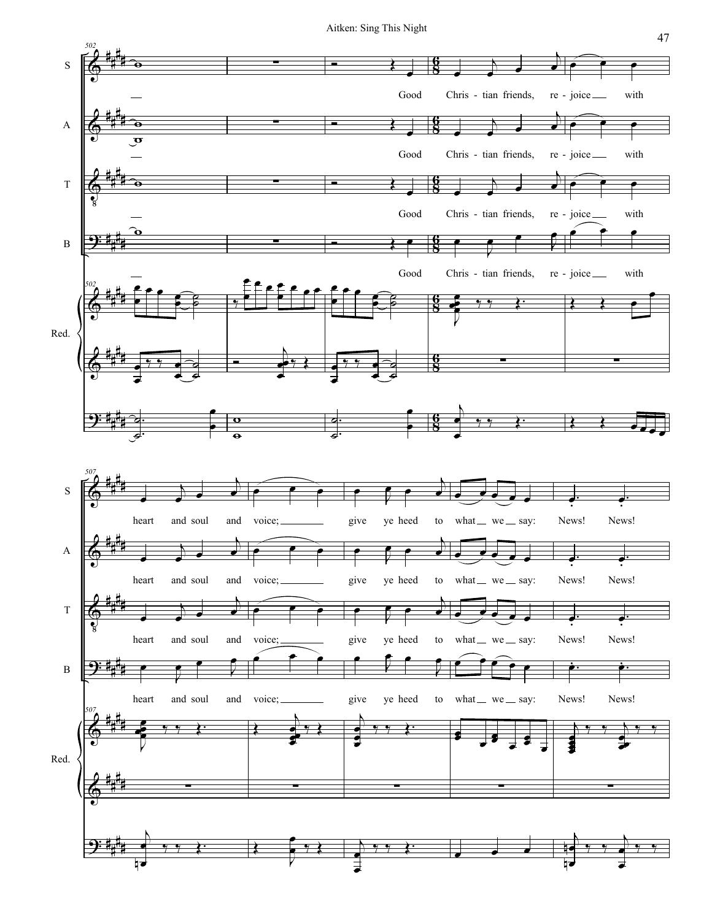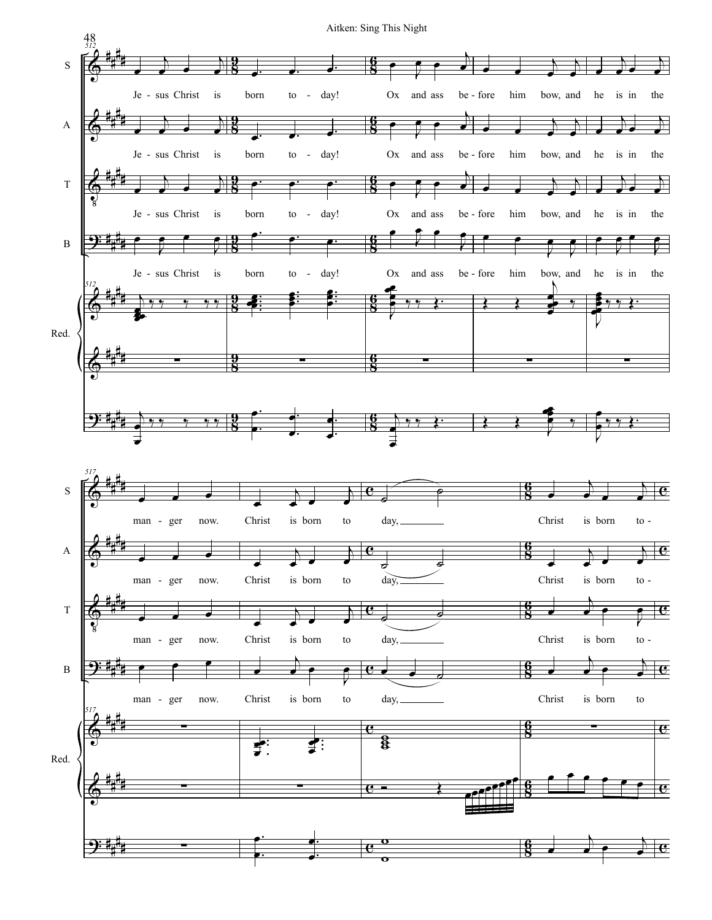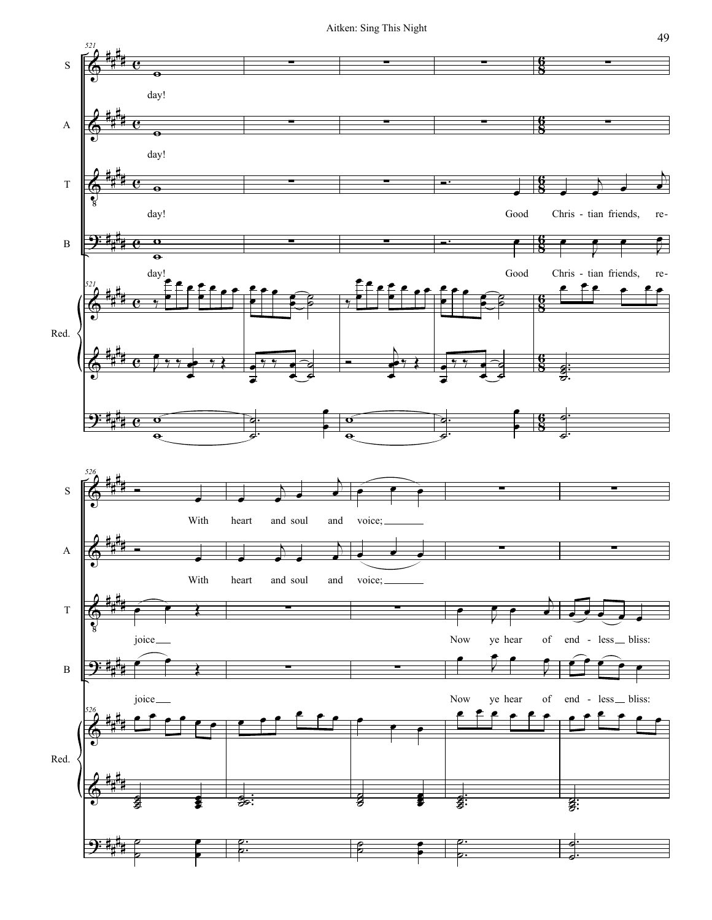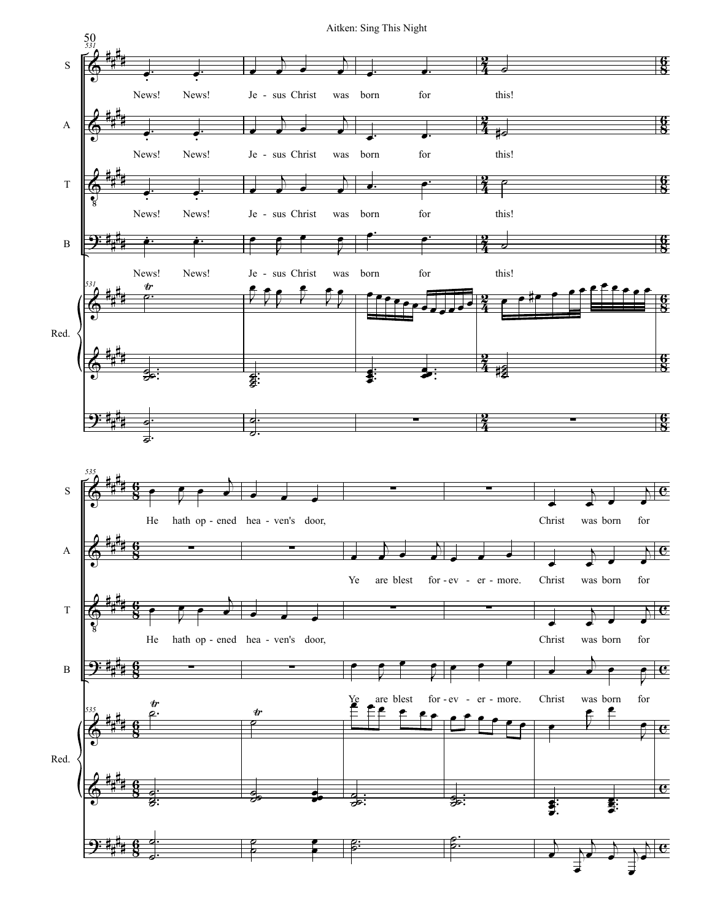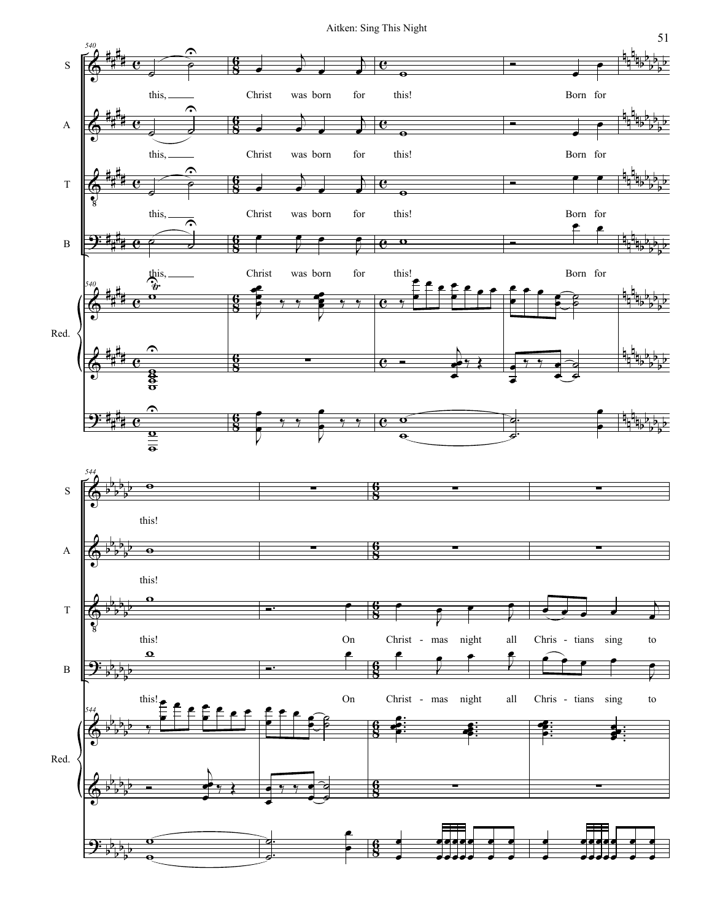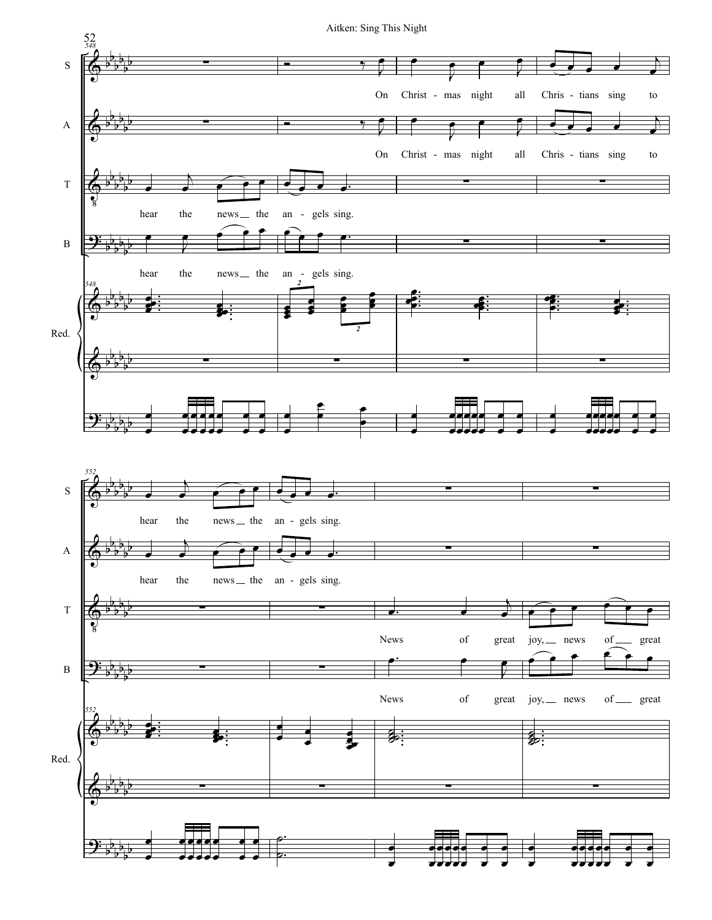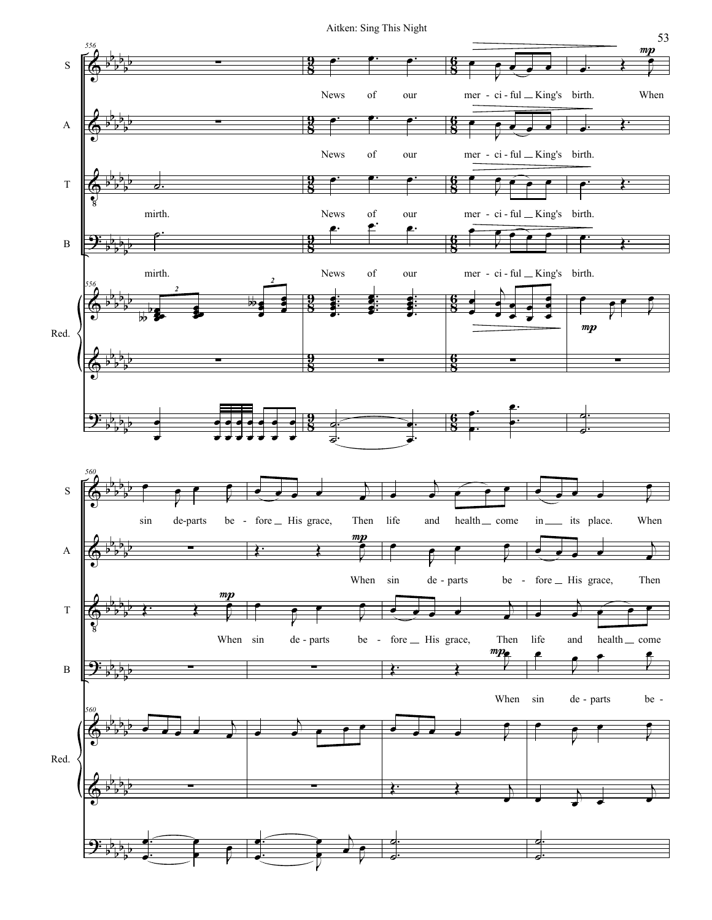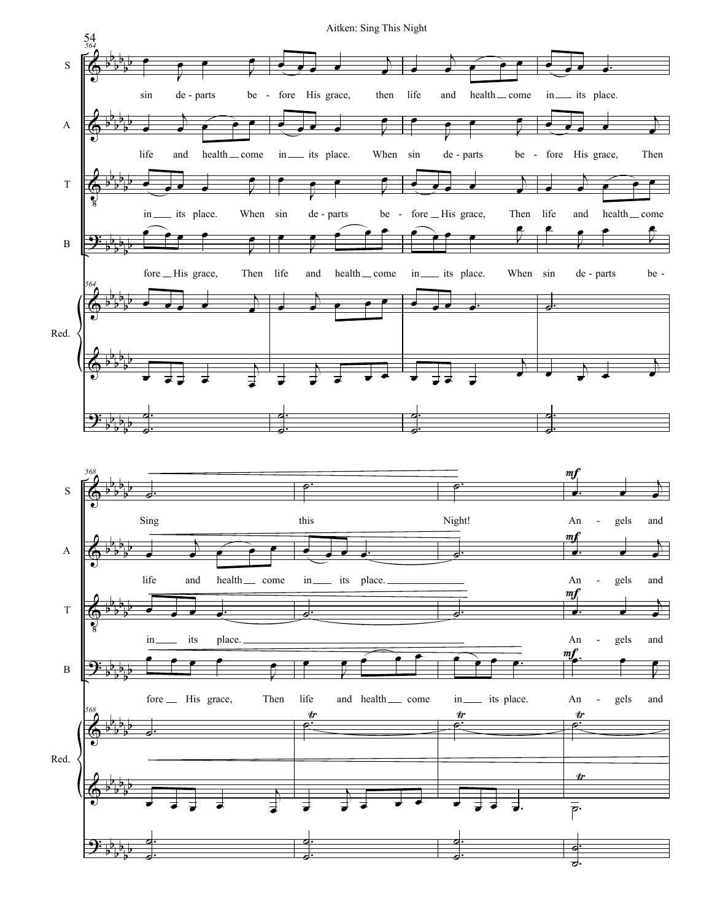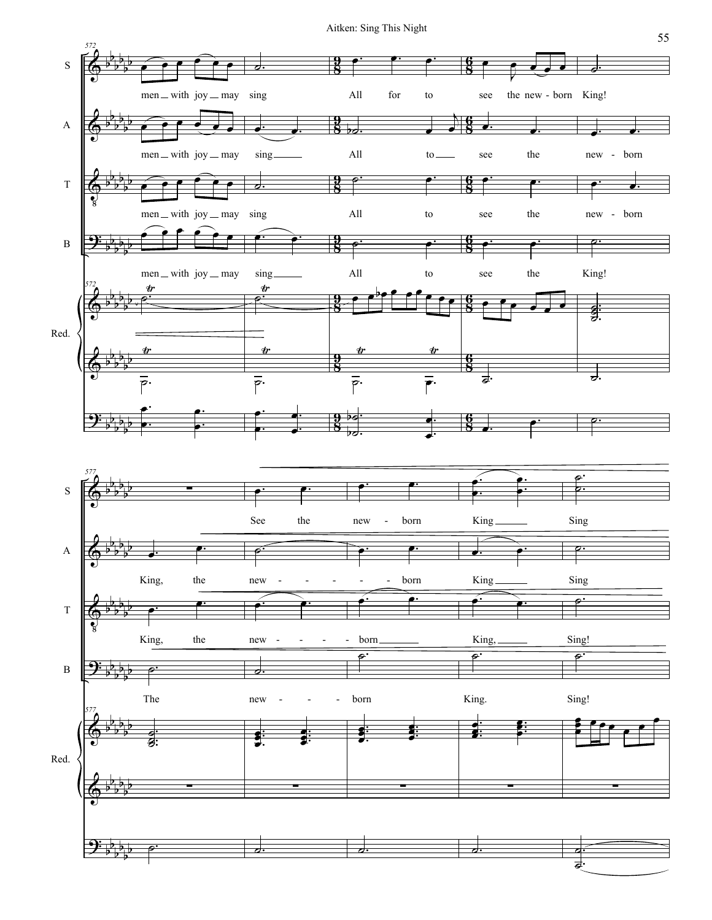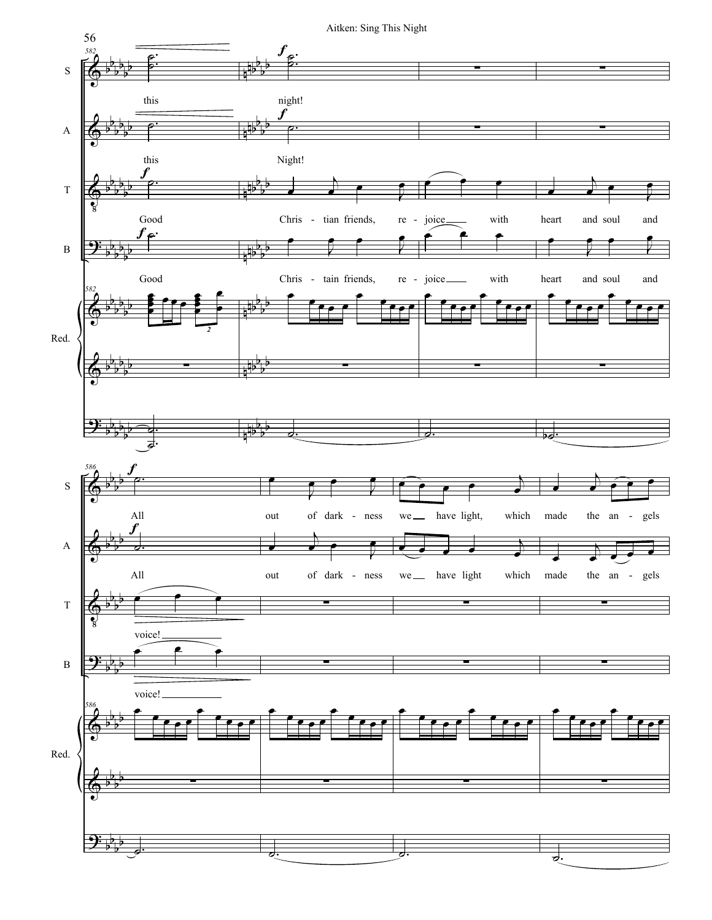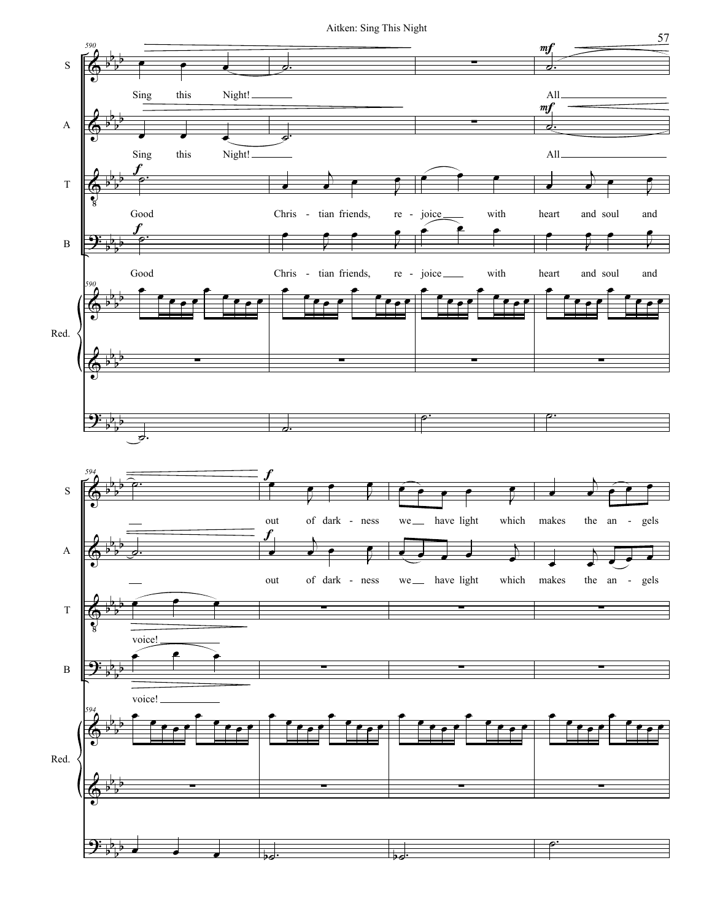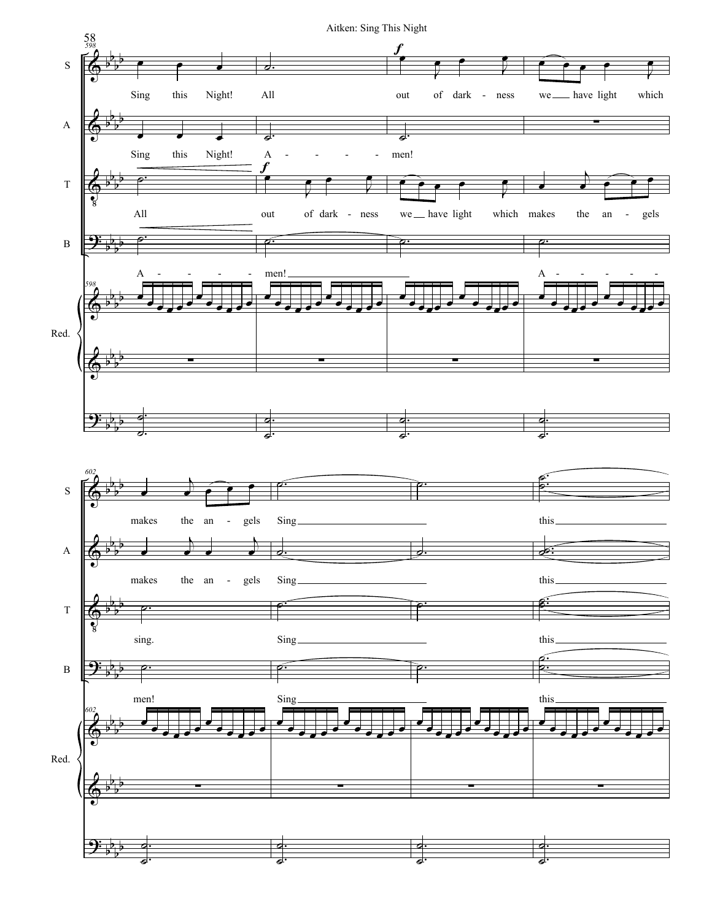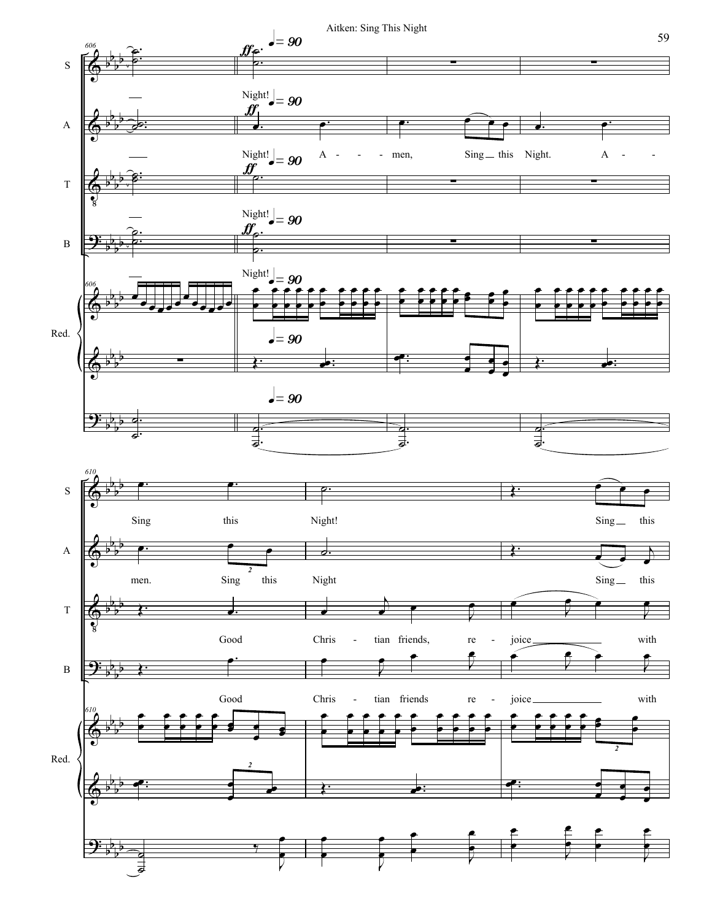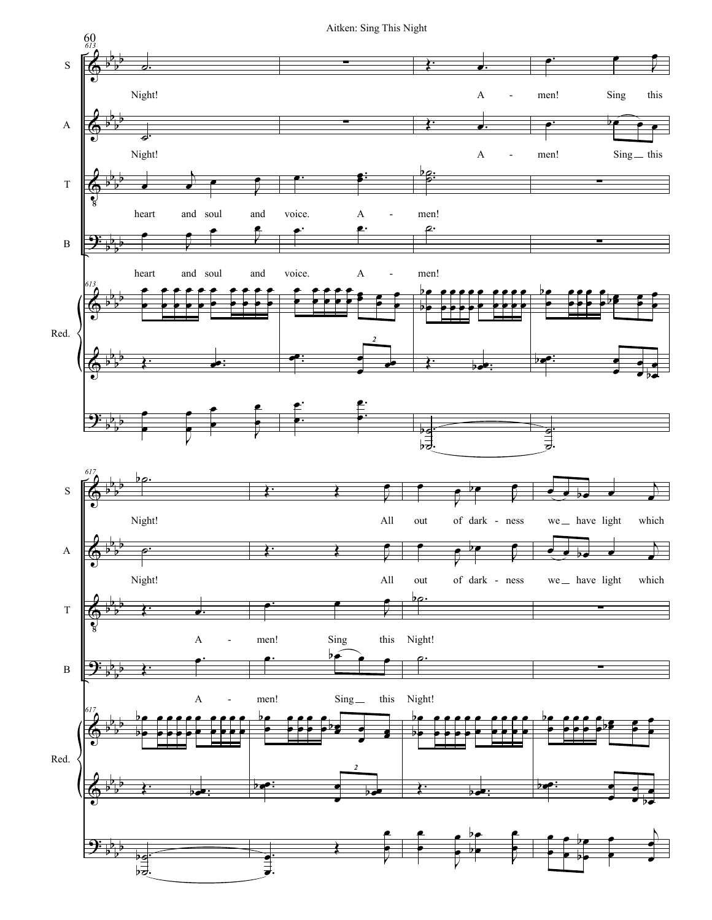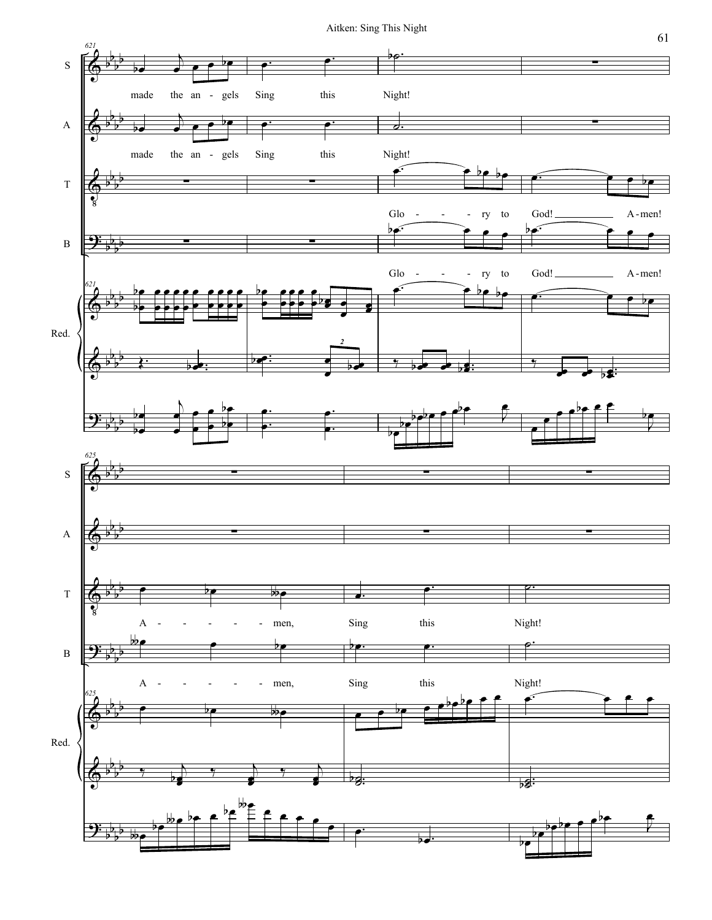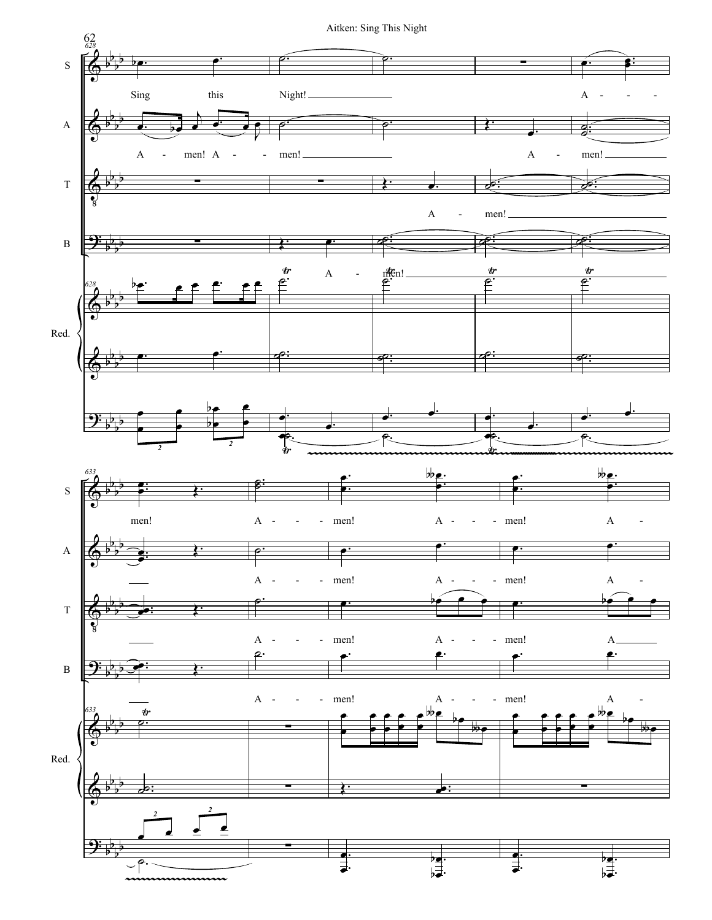